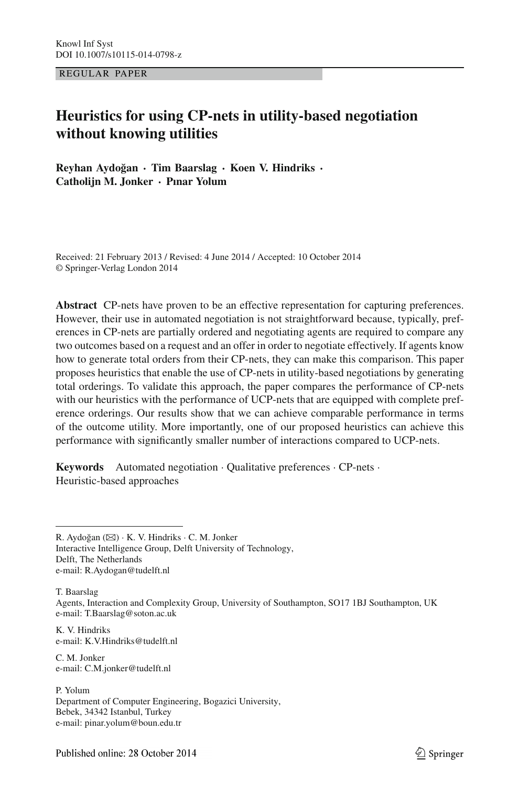REGULAR PAPER

# **Heuristics for using CP-nets in utility-based negotiation without knowing utilities**

**Reyhan Aydo˘gan · Tim Baarslag · Koen V. Hindriks · Catholijn M. Jonker · Pınar Yolum**

Received: 21 February 2013 / Revised: 4 June 2014 / Accepted: 10 October 2014 © Springer-Verlag London 2014

**Abstract** CP-nets have proven to be an effective representation for capturing preferences. However, their use in automated negotiation is not straightforward because, typically, preferences in CP-nets are partially ordered and negotiating agents are required to compare any two outcomes based on a request and an offer in order to negotiate effectively. If agents know how to generate total orders from their CP-nets, they can make this comparison. This paper proposes heuristics that enable the use of CP-nets in utility-based negotiations by generating total orderings. To validate this approach, the paper compares the performance of CP-nets with our heuristics with the performance of UCP-nets that are equipped with complete preference orderings. Our results show that we can achieve comparable performance in terms of the outcome utility. More importantly, one of our proposed heuristics can achieve this performance with significantly smaller number of interactions compared to UCP-nets.

**Keywords** Automated negotiation · Qualitative preferences · CP-nets · Heuristic-based approaches

T. Baarslag Agents, Interaction and Complexity Group, University of Southampton, SO17 1BJ Southampton, UK e-mail: T.Baarslag@soton.ac.uk

K. V. Hindriks e-mail: K.V.Hindriks@tudelft.nl

C. M. Jonker e-mail: C.M.jonker@tudelft.nl

P. Yolum Department of Computer Engineering, Bogazici University, Bebek, 34342 Istanbul, Turkey e-mail: pinar.yolum@boun.edu.tr

R. Aydoğan (⊠) · K. V. Hindriks · C. M. Jonker Interactive Intelligence Group, Delft University of Technology, Delft, The Netherlands e-mail: R.Aydogan@tudelft.nl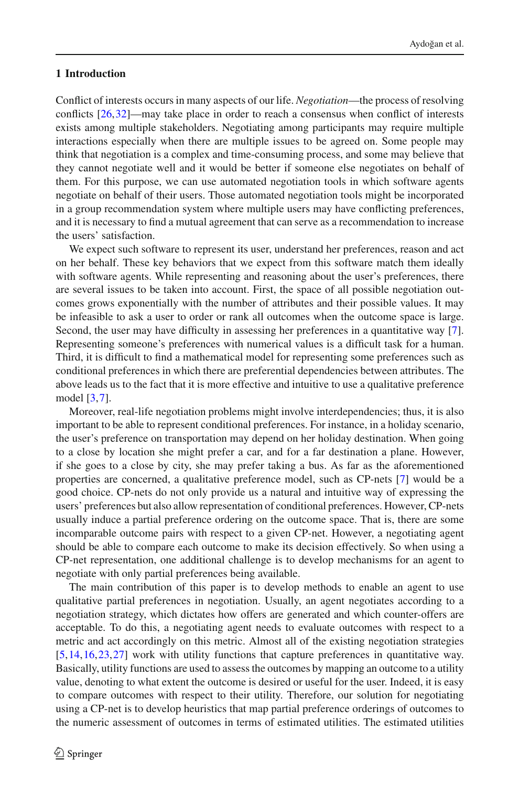# **1 Introduction**

Conflict of interests occurs in many aspects of our life. *Negotiation*—the process of resolving conflicts [\[26,](#page-29-0)[32](#page-29-1)]—may take place in order to reach a consensus when conflict of interests exists among multiple stakeholders. Negotiating among participants may require multiple interactions especially when there are multiple issues to be agreed on. Some people may think that negotiation is a complex and time-consuming process, and some may believe that they cannot negotiate well and it would be better if someone else negotiates on behalf of them. For this purpose, we can use automated negotiation tools in which software agents negotiate on behalf of their users. Those automated negotiation tools might be incorporated in a group recommendation system where multiple users may have conflicting preferences, and it is necessary to find a mutual agreement that can serve as a recommendation to increase the users' satisfaction.

We expect such software to represent its user, understand her preferences, reason and act on her behalf. These key behaviors that we expect from this software match them ideally with software agents. While representing and reasoning about the user's preferences, there are several issues to be taken into account. First, the space of all possible negotiation outcomes grows exponentially with the number of attributes and their possible values. It may be infeasible to ask a user to order or rank all outcomes when the outcome space is large. Second, the user may have difficulty in assessing her preferences in a quantitative way [\[7\]](#page-28-0). Representing someone's preferences with numerical values is a difficult task for a human. Third, it is difficult to find a mathematical model for representing some preferences such as conditional preferences in which there are preferential dependencies between attributes. The above leads us to the fact that it is more effective and intuitive to use a qualitative preference model [\[3](#page-28-1)[,7\]](#page-28-0).

Moreover, real-life negotiation problems might involve interdependencies; thus, it is also important to be able to represent conditional preferences. For instance, in a holiday scenario, the user's preference on transportation may depend on her holiday destination. When going to a close by location she might prefer a car, and for a far destination a plane. However, if she goes to a close by city, she may prefer taking a bus. As far as the aforementioned properties are concerned, a qualitative preference model, such as CP-nets [\[7](#page-28-0)] would be a good choice. CP-nets do not only provide us a natural and intuitive way of expressing the users' preferences but also allow representation of conditional preferences. However, CP-nets usually induce a partial preference ordering on the outcome space. That is, there are some incomparable outcome pairs with respect to a given CP-net. However, a negotiating agent should be able to compare each outcome to make its decision effectively. So when using a CP-net representation, one additional challenge is to develop mechanisms for an agent to negotiate with only partial preferences being available.

The main contribution of this paper is to develop methods to enable an agent to use qualitative partial preferences in negotiation. Usually, an agent negotiates according to a negotiation strategy, which dictates how offers are generated and which counter-offers are acceptable. To do this, a negotiating agent needs to evaluate outcomes with respect to a metric and act accordingly on this metric. Almost all of the existing negotiation strategies [\[5](#page-28-2)[,14,](#page-29-2)[16](#page-29-3)[,23,](#page-29-4)[27](#page-29-5)] work with utility functions that capture preferences in quantitative way. Basically, utility functions are used to assess the outcomes by mapping an outcome to a utility value, denoting to what extent the outcome is desired or useful for the user. Indeed, it is easy to compare outcomes with respect to their utility. Therefore, our solution for negotiating using a CP-net is to develop heuristics that map partial preference orderings of outcomes to the numeric assessment of outcomes in terms of estimated utilities. The estimated utilities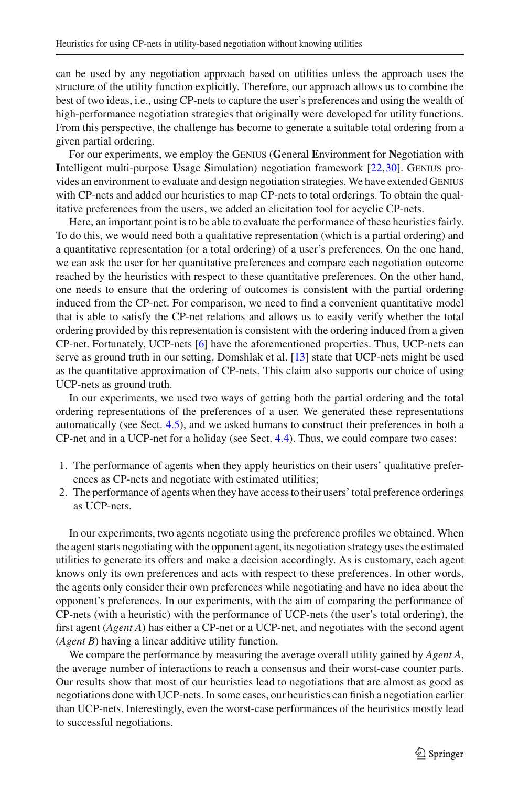can be used by any negotiation approach based on utilities unless the approach uses the structure of the utility function explicitly. Therefore, our approach allows us to combine the best of two ideas, i.e., using CP-nets to capture the user's preferences and using the wealth of high-performance negotiation strategies that originally were developed for utility functions. From this perspective, the challenge has become to generate a suitable total ordering from a given partial ordering.

For our experiments, we employ the GENIUS (General Environment for Negotiation with **I**ntelligent multi-purpose **U**sage **S**imulation) negotiation framework [\[22,](#page-29-6)[30](#page-29-7)]. Genius provides an environment to evaluate and design negotiation strategies. We have extended Genius with CP-nets and added our heuristics to map CP-nets to total orderings. To obtain the qualitative preferences from the users, we added an elicitation tool for acyclic CP-nets.

Here, an important point is to be able to evaluate the performance of these heuristics fairly. To do this, we would need both a qualitative representation (which is a partial ordering) and a quantitative representation (or a total ordering) of a user's preferences. On the one hand, we can ask the user for her quantitative preferences and compare each negotiation outcome reached by the heuristics with respect to these quantitative preferences. On the other hand, one needs to ensure that the ordering of outcomes is consistent with the partial ordering induced from the CP-net. For comparison, we need to find a convenient quantitative model that is able to satisfy the CP-net relations and allows us to easily verify whether the total ordering provided by this representation is consistent with the ordering induced from a given CP-net. Fortunately, UCP-nets [\[6](#page-28-3)] have the aforementioned properties. Thus, UCP-nets can serve as ground truth in our setting. Domshlak et al. [\[13\]](#page-29-8) state that UCP-nets might be used as the quantitative approximation of CP-nets. This claim also supports our choice of using UCP-nets as ground truth.

In our experiments, we used two ways of getting both the partial ordering and the total ordering representations of the preferences of a user. We generated these representations automatically (see Sect. [4.5\)](#page-22-0), and we asked humans to construct their preferences in both a CP-net and in a UCP-net for a holiday (see Sect. [4.4\)](#page-17-0). Thus, we could compare two cases:

- 1. The performance of agents when they apply heuristics on their users' qualitative preferences as CP-nets and negotiate with estimated utilities;
- 2. The performance of agents when they have access to their users' total preference orderings as UCP-nets.

In our experiments, two agents negotiate using the preference profiles we obtained. When the agent starts negotiating with the opponent agent, its negotiation strategy uses the estimated utilities to generate its offers and make a decision accordingly. As is customary, each agent knows only its own preferences and acts with respect to these preferences. In other words, the agents only consider their own preferences while negotiating and have no idea about the opponent's preferences. In our experiments, with the aim of comparing the performance of CP-nets (with a heuristic) with the performance of UCP-nets (the user's total ordering), the first agent (*Agent A*) has either a CP-net or a UCP-net, and negotiates with the second agent (*Agent B*) having a linear additive utility function.

We compare the performance by measuring the average overall utility gained by *Agent A*, the average number of interactions to reach a consensus and their worst-case counter parts. Our results show that most of our heuristics lead to negotiations that are almost as good as negotiations done with UCP-nets. In some cases, our heuristics can finish a negotiation earlier than UCP-nets. Interestingly, even the worst-case performances of the heuristics mostly lead to successful negotiations.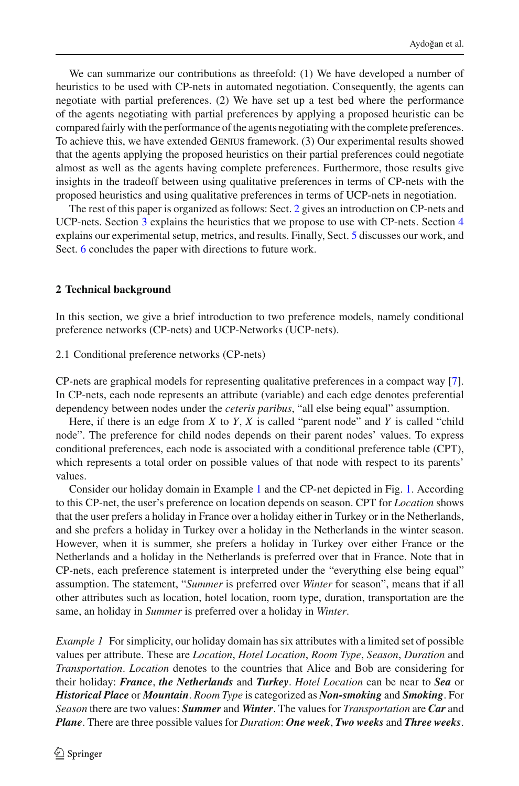We can summarize our contributions as threefold: (1) We have developed a number of heuristics to be used with CP-nets in automated negotiation. Consequently, the agents can negotiate with partial preferences. (2) We have set up a test bed where the performance of the agents negotiating with partial preferences by applying a proposed heuristic can be compared fairly with the performance of the agents negotiating with the complete preferences. To achieve this, we have extended Genius framework. (3) Our experimental results showed that the agents applying the proposed heuristics on their partial preferences could negotiate almost as well as the agents having complete preferences. Furthermore, those results give insights in the tradeoff between using qualitative preferences in terms of CP-nets with the proposed heuristics and using qualitative preferences in terms of UCP-nets in negotiation.

The rest of this paper is organized as follows: Sect. [2](#page-3-0) gives an introduction on CP-nets and UCP-nets. Section [3](#page-6-0) explains the heuristics that we propose to use with CP-nets. Section [4](#page-14-0) explains our experimental setup, metrics, and results. Finally, Sect. [5](#page-24-0) discusses our work, and Sect. [6](#page-27-0) concludes the paper with directions to future work.

### <span id="page-3-0"></span>**2 Technical background**

In this section, we give a brief introduction to two preference models, namely conditional preference networks (CP-nets) and UCP-Networks (UCP-nets).

## 2.1 Conditional preference networks (CP-nets)

CP-nets are graphical models for representing qualitative preferences in a compact way [\[7\]](#page-28-0). In CP-nets, each node represents an attribute (variable) and each edge denotes preferential dependency between nodes under the *ceteris paribus*, "all else being equal" assumption.

Here, if there is an edge from *X* to *Y*, *X* is called "parent node" and *Y* is called "child node". The preference for child nodes depends on their parent nodes' values. To express conditional preferences, each node is associated with a conditional preference table (CPT), which represents a total order on possible values of that node with respect to its parents' values.

Consider our holiday domain in Example [1](#page-3-1) and the CP-net depicted in Fig. [1.](#page-4-0) According to this CP-net, the user's preference on location depends on season. CPT for *Location* shows that the user prefers a holiday in France over a holiday either in Turkey or in the Netherlands, and she prefers a holiday in Turkey over a holiday in the Netherlands in the winter season. However, when it is summer, she prefers a holiday in Turkey over either France or the Netherlands and a holiday in the Netherlands is preferred over that in France. Note that in CP-nets, each preference statement is interpreted under the "everything else being equal" assumption. The statement, "*Summer* is preferred over *Winter* for season", means that if all other attributes such as location, hotel location, room type, duration, transportation are the same, an holiday in *Summer* is preferred over a holiday in *Winter*.

<span id="page-3-1"></span>*Example 1* For simplicity, our holiday domain has six attributes with a limited set of possible values per attribute. These are *Location*, *Hotel Location*, *Room Type*, *Season*, *Duration* and *Transportation*. *Location* denotes to the countries that Alice and Bob are considering for their holiday: *France*, *the Netherlands* and *Turkey*. *Hotel Location* can be near to *Sea* or *Historical Place* or *Mountain*. *Room Type* is categorized as *Non-smoking* and *Smoking*. For *Season* there are two values: *Summer* and *Winter*. The values for *Transportation* are *Car* and *Plane*. There are three possible values for *Duration*: *One week*, *Two weeks* and *Three weeks*.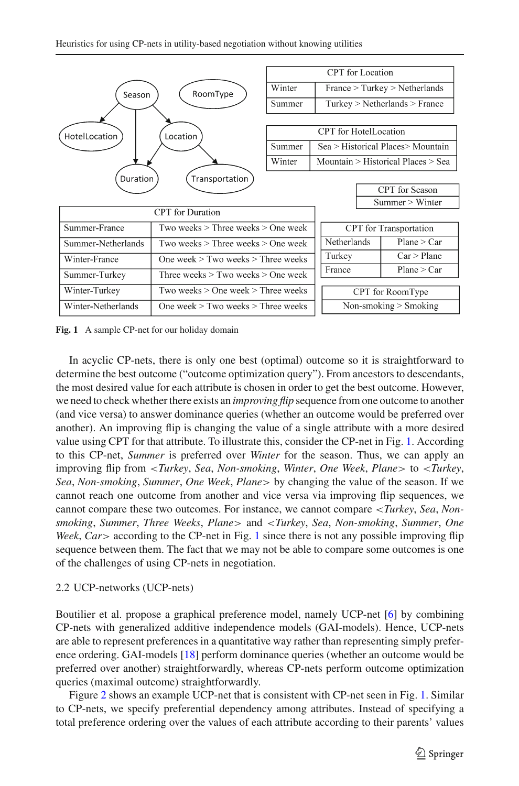|                    |                                        |        | <b>CPT</b> for Location |                                    |  |
|--------------------|----------------------------------------|--------|-------------------------|------------------------------------|--|
| Season             | RoomType                               | Winter |                         | France > Turkey > Netherlands      |  |
|                    |                                        | Summer |                         | Turkey > Netherlands > France      |  |
|                    |                                        |        |                         |                                    |  |
| HotelLocation      | Location                               |        | CPT for HotelLocation   |                                    |  |
|                    |                                        | Summer |                         | Sea > Historical Places > Mountain |  |
|                    |                                        | Winter |                         | Mountain > Historical Places > Sea |  |
| Duration           | Transportation                         |        |                         |                                    |  |
|                    |                                        |        |                         | CPT for Season                     |  |
|                    |                                        |        |                         | Summer > Winter                    |  |
|                    | <b>CPT</b> for Duration                |        |                         |                                    |  |
| Summer-France      | Two weeks > Three weeks > One week     |        |                         | <b>CPT</b> for Transportation      |  |
| Summer-Netherlands | Two weeks > Three weeks > One week     |        | Netherlands             | Plane > Car                        |  |
| Winter-France      | One week $>$ Two weeks $>$ Three weeks | Turkey | Car > Plane             |                                    |  |
| Summer-Turkey      | Three weeks > Two weeks > One week     | France | Plane > Car             |                                    |  |
| Winter-Turkey      | Two weeks > One week > Three weeks     |        |                         | CPT for RoomType                   |  |
| Winter-Netherlands | One week $>$ Two weeks $>$ Three weeks |        | Non-smoking $>$ Smoking |                                    |  |

<span id="page-4-0"></span>**Fig. 1** A sample CP-net for our holiday domain

In acyclic CP-nets, there is only one best (optimal) outcome so it is straightforward to determine the best outcome ("outcome optimization query"). From ancestors to descendants, the most desired value for each attribute is chosen in order to get the best outcome. However, we need to check whether there exists an *improving flip* sequence from one outcome to another (and vice versa) to answer dominance queries (whether an outcome would be preferred over another). An improving flip is changing the value of a single attribute with a more desired value using CPT for that attribute. To illustrate this, consider the CP-net in Fig. [1.](#page-4-0) According to this CP-net, *Summer* is preferred over *Winter* for the season. Thus, we can apply an improving flip from <*Turkey*, *Sea*, *Non-smoking*, *Winter*, *One Week*, *Plane*> to <*Turkey*, *Sea*, *Non-smoking*, *Summer*, *One Week*, *Plane*> by changing the value of the season. If we cannot reach one outcome from another and vice versa via improving flip sequences, we cannot compare these two outcomes. For instance, we cannot compare <*Turkey*, *Sea*, *Nonsmoking*, *Summer*, *Three Weeks*, *Plane*> and <*Turkey*, *Sea*, *Non-smoking*, *Summer*, *One Week*, *Car*> according to the CP-net in Fig. [1](#page-4-0) since there is not any possible improving flip sequence between them. The fact that we may not be able to compare some outcomes is one of the challenges of using CP-nets in negotiation.

## <span id="page-4-1"></span>2.2 UCP-networks (UCP-nets)

Boutilier et al. propose a graphical preference model, namely UCP-net [\[6](#page-28-3)] by combining CP-nets with generalized additive independence models (GAI-models). Hence, UCP-nets are able to represent preferences in a quantitative way rather than representing simply preference ordering. GAI-models [\[18](#page-29-9)] perform dominance queries (whether an outcome would be preferred over another) straightforwardly, whereas CP-nets perform outcome optimization queries (maximal outcome) straightforwardly.

Figure [2](#page-5-0) shows an example UCP-net that is consistent with CP-net seen in Fig. [1.](#page-4-0) Similar to CP-nets, we specify preferential dependency among attributes. Instead of specifying a total preference ordering over the values of each attribute according to their parents' values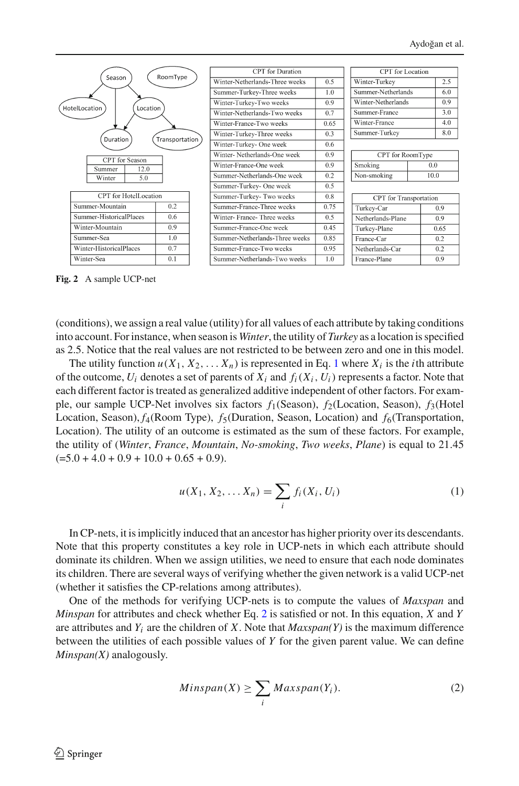|                           |                | <b>CPT</b> for Duration        |      | CPT for Location   |                        |      |
|---------------------------|----------------|--------------------------------|------|--------------------|------------------------|------|
| Season                    | RoomType       | Winter-Netherlands-Three weeks | 0.5  | Winter-Turkey      |                        | 2.5  |
|                           |                | Summer-Turkey-Three weeks      | 1.0  | Summer-Netherlands |                        | 6.0  |
|                           |                | Winter-Turkey-Two weeks        | 0.9  | Winter-Netherlands |                        | 0.9  |
| Location<br>HotelLocation |                | Winter-Netherlands-Two weeks   | 0.7  | Summer-France      |                        | 3.0  |
|                           |                | Winter-France-Two weeks        | 0.65 | Winter-France      |                        | 4.0  |
|                           |                | Winter-Turkey-Three weeks      | 0.3  | Summer-Turkey      |                        | 8.0  |
| Duration                  | Transportation | Winter-Turkey- One week        | 0.6  |                    |                        |      |
| CPT for Season            |                | Winter-Netherlands-One week    | 0.9  | CPT for RoomType   |                        |      |
| 12.0<br>Summer            |                | Winter-France-One week         | 0.9  | Smoking            | 0.0                    |      |
| 5.0<br>Winter             |                | Summer-Netherlands-One week    | 0.2  | Non-smoking        |                        | 10.0 |
|                           |                | Summer-Turkey- One week        | 0.5  |                    |                        |      |
| CPT for HotelLocation     |                | Summer-Turkey-Two weeks        | 0.8  |                    | CPT for Transportation |      |
| Summer-Mountain           | 0.2            | Summer-France-Three weeks      | 0.75 | Turkey-Car         |                        | 0.9  |
| Summer-HistoricalPlaces   | 0.6            | Winter-France-Three weeks      | 0.5  | Netherlands-Plane  |                        | 0.9  |
| Winter-Mountain           | 0.9            | Summer-France-One week         | 0.45 | Turkey-Plane       |                        | 0.65 |
| Summer-Sea                | 1.0            | Summer-Netherlands-Three weeks | 0.85 | France-Car         |                        | 0.2  |
| Winter-HistoricalPlaces   | 0.7            | Summer-France-Two weeks        | 0.95 | Netherlands-Car    |                        | 0.2  |
| Winter-Sea                | 0.1            | Summer-Netherlands-Two weeks   | 1.0  | France-Plane       |                        | 0.9  |

<span id="page-5-0"></span>**Fig. 2** A sample UCP-net

(conditions), we assign a real value (utility) for all values of each attribute by taking conditions into account. For instance, when season is *Winter*, the utility of *Turkey* as a location is specified as 2.5. Notice that the real values are not restricted to be between zero and one in this model.

The utility function  $u(X_1, X_2, \ldots, X_n)$  $u(X_1, X_2, \ldots, X_n)$  $u(X_1, X_2, \ldots, X_n)$  is represented in Eq. 1 where  $X_i$  is the *i*th attribute of the outcome,  $U_i$  denotes a set of parents of  $X_i$  and  $f_i(X_i, U_i)$  represents a factor. Note that each different factor is treated as generalized additive independent of other factors. For example, our sample UCP-Net involves six factors *f*1(Season), *f*2(Location, Season), *f*3(Hotel Location, Season),  $f_4$ (Room Type),  $f_5$ (Duration, Season, Location) and  $f_6$ (Transportation, Location). The utility of an outcome is estimated as the sum of these factors. For example, the utility of (*Winter*, *France*, *Mountain*, *No-smoking*, *Two weeks*, *Plane*) is equal to 21.45  $(=5.0 + 4.0 + 0.9 + 10.0 + 0.65 + 0.9).$ 

$$
u(X_1, X_2, \dots X_n) = \sum_i f_i(X_i, U_i)
$$
 (1)

<span id="page-5-1"></span>In CP-nets, it is implicitly induced that an ancestor has higher priority over its descendants. Note that this property constitutes a key role in UCP-nets in which each attribute should dominate its children. When we assign utilities, we need to ensure that each node dominates its children. There are several ways of verifying whether the given network is a valid UCP-net (whether it satisfies the CP-relations among attributes).

One of the methods for verifying UCP-nets is to compute the values of *Maxspan* and *Minspan* for attributes and check whether Eq. [2](#page-5-2) is satisfied or not. In this equation, *X* and *Y* are attributes and *Yi* are the children of *X*. Note that *Maxspan(Y)* is the maximum difference between the utilities of each possible values of *Y* for the given parent value. We can define *Minspan(X)* analogously.

<span id="page-5-2"></span>
$$
Minspan(X) \ge \sum_{i} Maxspan(Y_i). \tag{2}
$$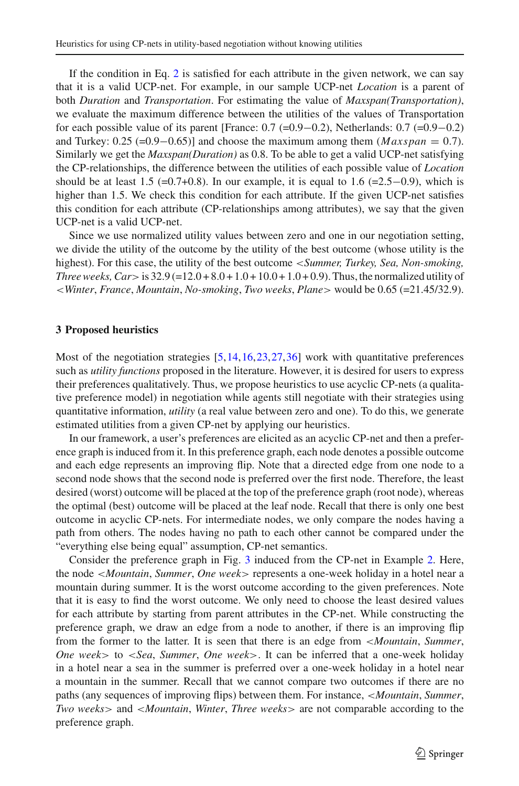If the condition in Eq.  $2$  is satisfied for each attribute in the given network, we can say that it is a valid UCP-net. For example, in our sample UCP-net *Location* is a parent of both *Duration* and *Transportation*. For estimating the value of *Maxspan(Transportation)*, we evaluate the maximum difference between the utilities of the values of Transportation for each possible value of its parent [France:  $0.7$  (= $0.9-0.2$ ), Netherlands:  $0.7$  (= $0.9-0.2$ ) and Turkey:  $0.25$  (=0.9–0.65)] and choose the maximum among them (*Maxspan* = 0.7). Similarly we get the *Maxspan(Duration)* as 0.8. To be able to get a valid UCP-net satisfying the CP-relationships, the difference between the utilities of each possible value of *Location* should be at least 1.5 (=0.7+0.8). In our example, it is equal to 1.6 (=2.5–0.9), which is higher than 1.5. We check this condition for each attribute. If the given UCP-net satisfies this condition for each attribute (CP-relationships among attributes), we say that the given UCP-net is a valid UCP-net.

Since we use normalized utility values between zero and one in our negotiation setting, we divide the utility of the outcome by the utility of the best outcome (whose utility is the highest). For this case, the utility of the best outcome <*Summer, Turkey, Sea, Non-smoking, Three weeks, Car*> is  $32.9$  (=12.0 +  $8.0$  +  $1.0$  +  $10.0$  +  $1.0$  + 0.9). Thus, the normalized utility of <*Winter*, *France*, *Mountain*, *No-smoking*, *Two weeks*, *Plane*> would be 0.65 (=21.45/32.9).

### <span id="page-6-0"></span>**3 Proposed heuristics**

Most of the negotiation strategies [\[5](#page-28-2)[,14,](#page-29-2)[16](#page-29-3)[,23](#page-29-4)[,27](#page-29-5),[36](#page-30-0)] work with quantitative preferences such as *utility functions* proposed in the literature. However, it is desired for users to express their preferences qualitatively. Thus, we propose heuristics to use acyclic CP-nets (a qualitative preference model) in negotiation while agents still negotiate with their strategies using quantitative information, *utility* (a real value between zero and one). To do this, we generate estimated utilities from a given CP-net by applying our heuristics.

In our framework, a user's preferences are elicited as an acyclic CP-net and then a preference graph is induced from it. In this preference graph, each node denotes a possible outcome and each edge represents an improving flip. Note that a directed edge from one node to a second node shows that the second node is preferred over the first node. Therefore, the least desired (worst) outcome will be placed at the top of the preference graph (root node), whereas the optimal (best) outcome will be placed at the leaf node. Recall that there is only one best outcome in acyclic CP-nets. For intermediate nodes, we only compare the nodes having a path from others. The nodes having no path to each other cannot be compared under the "everything else being equal" assumption, CP-net semantics.

<span id="page-6-1"></span>Consider the preference graph in Fig. [3](#page-7-0) induced from the CP-net in Example [2.](#page-6-1) Here, the node <*Mountain*, *Summer*, *One week*> represents a one-week holiday in a hotel near a mountain during summer. It is the worst outcome according to the given preferences. Note that it is easy to find the worst outcome. We only need to choose the least desired values for each attribute by starting from parent attributes in the CP-net. While constructing the preference graph, we draw an edge from a node to another, if there is an improving flip from the former to the latter. It is seen that there is an edge from <*Mountain*, *Summer*, *One week*> to <*Sea*, *Summer*, *One week*>. It can be inferred that a one-week holiday in a hotel near a sea in the summer is preferred over a one-week holiday in a hotel near a mountain in the summer. Recall that we cannot compare two outcomes if there are no paths (any sequences of improving flips) between them. For instance, <*Mountain*, *Summer*, *Two weeks*> and <*Mountain*, *Winter*, *Three weeks*> are not comparable according to the preference graph.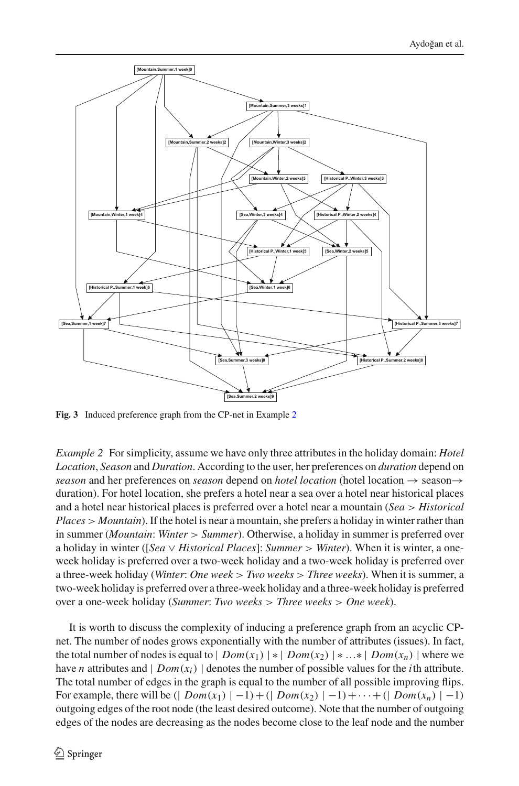

<span id="page-7-0"></span>**Fig. 3** Induced preference graph from the CP-net in Example [2](#page-6-1)

*Example 2* For simplicity, assume we have only three attributes in the holiday domain: *Hotel Location*, *Season* and *Duration*. According to the user, her preferences on *duration* depend on *season* and her preferences on *season* depend on *hotel location* (hotel location → season→ duration). For hotel location, she prefers a hotel near a sea over a hotel near historical places and a hotel near historical places is preferred over a hotel near a mountain (*Sea* > *Historical Places* > *Mountain*). If the hotel is near a mountain, she prefers a holiday in winter rather than in summer (*Mountain*: *Winter* > *Summer*). Otherwise, a holiday in summer is preferred over a holiday in winter ([*Sea* ∨ *Historical Places*]: *Summer* > *Winter*). When it is winter, a oneweek holiday is preferred over a two-week holiday and a two-week holiday is preferred over a three-week holiday (*Winter*: *One week* > *Two weeks* > *Three weeks*). When it is summer, a two-week holiday is preferred over a three-week holiday and a three-week holiday is preferred over a one-week holiday (*Summer*: *Two weeks* > *Three weeks* > *One week*).

It is worth to discuss the complexity of inducing a preference graph from an acyclic CPnet. The number of nodes grows exponentially with the number of attributes (issues). In fact, the total number of nodes is equal to  $| Dom(x_1) | * | Dom(x_2) | * ... * | Dom(x_n) |$  where we have *n* attributes and  $| Dom(x_i)|$  denotes the number of possible values for the *i*th attribute. The total number of edges in the graph is equal to the number of all possible improving flips. For example, there will be  $(| Dom(x_1) | -1) + (| Dom(x_2) | -1) + \cdots + (| Dom(x_n) | -1)$ outgoing edges of the root node (the least desired outcome). Note that the number of outgoing edges of the nodes are decreasing as the nodes become close to the leaf node and the number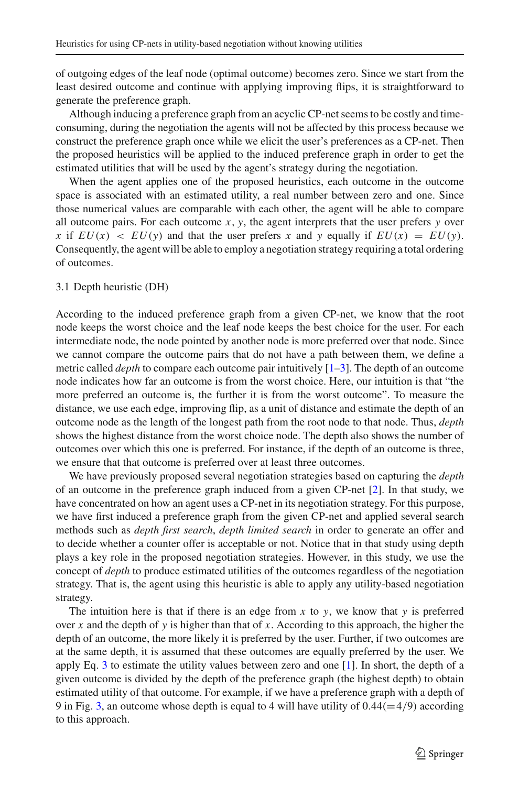of outgoing edges of the leaf node (optimal outcome) becomes zero. Since we start from the least desired outcome and continue with applying improving flips, it is straightforward to generate the preference graph.

Although inducing a preference graph from an acyclic CP-net seems to be costly and timeconsuming, during the negotiation the agents will not be affected by this process because we construct the preference graph once while we elicit the user's preferences as a CP-net. Then the proposed heuristics will be applied to the induced preference graph in order to get the estimated utilities that will be used by the agent's strategy during the negotiation.

When the agent applies one of the proposed heuristics, each outcome in the outcome space is associated with an estimated utility, a real number between zero and one. Since those numerical values are comparable with each other, the agent will be able to compare all outcome pairs. For each outcome *x*, *y*, the agent interprets that the user prefers *y* over *x* if  $EU(x) < EU(y)$  and that the user prefers *x* and *y* equally if  $EU(x) = EU(y)$ . Consequently, the agent will be able to employ a negotiation strategy requiring a total ordering of outcomes.

#### 3.1 Depth heuristic (DH)

According to the induced preference graph from a given CP-net, we know that the root node keeps the worst choice and the leaf node keeps the best choice for the user. For each intermediate node, the node pointed by another node is more preferred over that node. Since we cannot compare the outcome pairs that do not have a path between them, we define a metric called *depth* to compare each outcome pair intuitively [\[1](#page-28-4)[–3\]](#page-28-1). The depth of an outcome node indicates how far an outcome is from the worst choice. Here, our intuition is that "the more preferred an outcome is, the further it is from the worst outcome". To measure the distance, we use each edge, improving flip, as a unit of distance and estimate the depth of an outcome node as the length of the longest path from the root node to that node. Thus, *depth* shows the highest distance from the worst choice node. The depth also shows the number of outcomes over which this one is preferred. For instance, if the depth of an outcome is three, we ensure that that outcome is preferred over at least three outcomes.

We have previously proposed several negotiation strategies based on capturing the *depth* of an outcome in the preference graph induced from a given CP-net [\[2](#page-28-5)]. In that study, we have concentrated on how an agent uses a CP-net in its negotiation strategy. For this purpose, we have first induced a preference graph from the given CP-net and applied several search methods such as *depth first search*, *depth limited search* in order to generate an offer and to decide whether a counter offer is acceptable or not. Notice that in that study using depth plays a key role in the proposed negotiation strategies. However, in this study, we use the concept of *depth* to produce estimated utilities of the outcomes regardless of the negotiation strategy. That is, the agent using this heuristic is able to apply any utility-based negotiation strategy.

The intuition here is that if there is an edge from *x* to *y*, we know that *y* is preferred over *x* and the depth of *y* is higher than that of *x*. According to this approach, the higher the depth of an outcome, the more likely it is preferred by the user. Further, if two outcomes are at the same depth, it is assumed that these outcomes are equally preferred by the user. We apply Eq. [3](#page-9-0) to estimate the utility values between zero and one [\[1\]](#page-28-4). In short, the depth of a given outcome is divided by the depth of the preference graph (the highest depth) to obtain estimated utility of that outcome. For example, if we have a preference graph with a depth of 9 in Fig. [3,](#page-7-0) an outcome whose depth is equal to 4 will have utility of  $0.44(=4/9)$  according to this approach.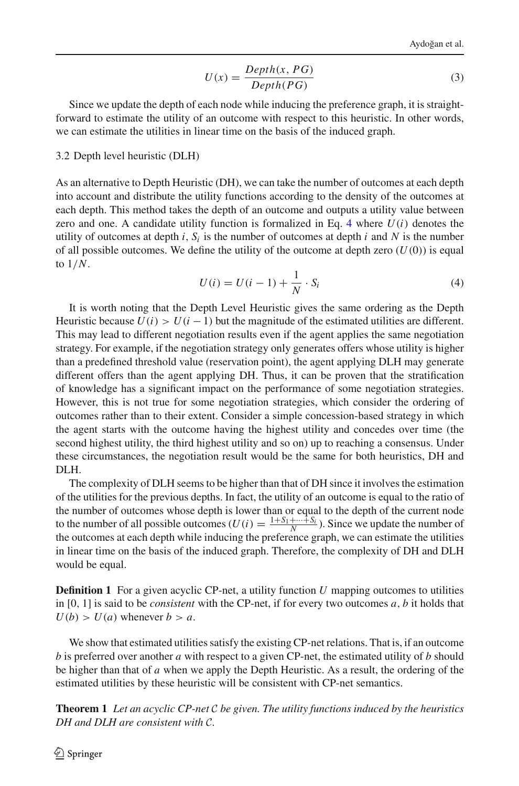$$
U(x) = \frac{Depth(x, PG)}{Depth(PG)}\tag{3}
$$

<span id="page-9-0"></span>Since we update the depth of each node while inducing the preference graph, it is straightforward to estimate the utility of an outcome with respect to this heuristic. In other words, we can estimate the utilities in linear time on the basis of the induced graph.

### 3.2 Depth level heuristic (DLH)

As an alternative to Depth Heuristic (DH), we can take the number of outcomes at each depth into account and distribute the utility functions according to the density of the outcomes at each depth. This method takes the depth of an outcome and outputs a utility value between zero and one. A candidate utility function is formalized in Eq. [4](#page-9-1) where  $U(i)$  denotes the utility of outcomes at depth  $i$ ,  $S_i$  is the number of outcomes at depth  $i$  and  $N$  is the number of all possible outcomes. We define the utility of the outcome at depth zero  $(U(0))$  is equal to 1/*N*.

$$
U(i) = U(i - 1) + \frac{1}{N} \cdot S_i
$$
 (4)

<span id="page-9-1"></span>It is worth noting that the Depth Level Heuristic gives the same ordering as the Depth Heuristic because  $U(i) > U(i-1)$  but the magnitude of the estimated utilities are different. This may lead to different negotiation results even if the agent applies the same negotiation strategy. For example, if the negotiation strategy only generates offers whose utility is higher than a predefined threshold value (reservation point), the agent applying DLH may generate different offers than the agent applying DH. Thus, it can be proven that the stratification of knowledge has a significant impact on the performance of some negotiation strategies. However, this is not true for some negotiation strategies, which consider the ordering of outcomes rather than to their extent. Consider a simple concession-based strategy in which the agent starts with the outcome having the highest utility and concedes over time (the second highest utility, the third highest utility and so on) up to reaching a consensus. Under these circumstances, the negotiation result would be the same for both heuristics, DH and DLH.

The complexity of DLH seems to be higher than that of DH since it involves the estimation of the utilities for the previous depths. In fact, the utility of an outcome is equal to the ratio of the number of outcomes whose depth is lower than or equal to the depth of the current node to the number of all possible outcomes  $(U(i) = \frac{1+S_1+\cdots+S_i}{N})$ . Since we update the number of the outcomes at each depth while inducing the preference graph, we can estimate the utilities in linear time on the basis of the induced graph. Therefore, the complexity of DH and DLH would be equal.

**Definition 1** For a given acyclic CP-net, a utility function *U* mapping outcomes to utilities in [0, 1] is said to be *consistent* with the CP-net, if for every two outcomes *a*, *b* it holds that  $U(b) > U(a)$  whenever  $b > a$ .

We show that estimated utilities satisfy the existing CP-net relations. That is, if an outcome *b* is preferred over another *a* with respect to a given CP-net, the estimated utility of *b* should be higher than that of *a* when we apply the Depth Heuristic. As a result, the ordering of the estimated utilities by these heuristic will be consistent with CP-net semantics.

**Theorem 1** *Let an acyclic CP-net C be given. The utility functions induced by the heuristics DH and DLH are consistent with C.*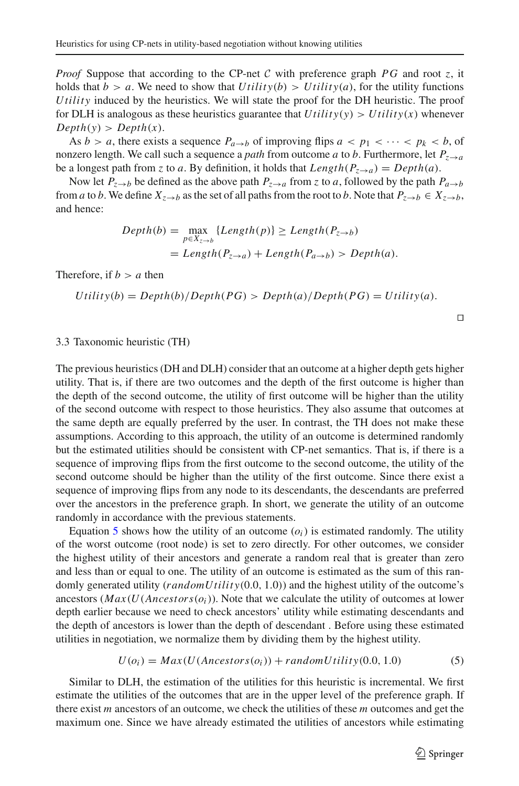*Proof* Suppose that according to the CP-net  $C$  with preference graph  $PG$  and root  $z$ , it holds that  $b > a$ . We need to show that  $Utility(b) > Utility(a)$ , for the utility functions *Utility* induced by the heuristics. We will state the proof for the DH heuristic. The proof for DLH is analogous as these heuristics guarantee that  $Utility(y) > Utility(x)$  whenever  $Depth(y) > Depth(x)$ .

As  $b > a$ , there exists a sequence  $P_{a\to b}$  of improving flips  $a < p_1 < \cdots < p_k < b$ , of nonzero length. We call such a sequence a *path* from outcome *a* to *b*. Furthermore, let  $P_{z\rightarrow a}$ be a longest path from *z* to *a*. By definition, it holds that  $Length(P_{z\rightarrow a}) = Depth(a)$ .

Now let  $P_{z\rightarrow b}$  be defined as the above path  $P_{z\rightarrow a}$  from *z* to *a*, followed by the path  $P_{a\rightarrow b}$ from *a* to *b*. We define  $X_{z\to b}$  as the set of all paths from the root to *b*. Note that  $P_{z\to b} \in X_{z\to b}$ , and hence:

$$
Depth(b) = \max_{p \in X_{z \to b}} \{Length(p)\} \ge Length(P_{z \to b})
$$

$$
= Length(P_{z \to a}) + Length(P_{a \to b}) > Depth(a).
$$

Therefore, if  $b > a$  then

 $Utility(b) = Depth(b)/Depth(PG) > Depth(a)/Depth(PG) = Utility(a).$ 

3.3 Taxonomic heuristic (TH)

The previous heuristics (DH and DLH) consider that an outcome at a higher depth gets higher utility. That is, if there are two outcomes and the depth of the first outcome is higher than the depth of the second outcome, the utility of first outcome will be higher than the utility of the second outcome with respect to those heuristics. They also assume that outcomes at the same depth are equally preferred by the user. In contrast, the TH does not make these assumptions. According to this approach, the utility of an outcome is determined randomly but the estimated utilities should be consistent with CP-net semantics. That is, if there is a sequence of improving flips from the first outcome to the second outcome, the utility of the second outcome should be higher than the utility of the first outcome. Since there exist a sequence of improving flips from any node to its descendants, the descendants are preferred over the ancestors in the preference graph. In short, we generate the utility of an outcome randomly in accordance with the previous statements.

Equation [5](#page-10-0) shows how the utility of an outcome  $(o_i)$  is estimated randomly. The utility of the worst outcome (root node) is set to zero directly. For other outcomes, we consider the highest utility of their ancestors and generate a random real that is greater than zero and less than or equal to one. The utility of an outcome is estimated as the sum of this randomly generated utility (*randomUtility*(0.0, 1.0)) and the highest utility of the outcome's ancestors  $(Max(U(Anceators(o_i)))$ . Note that we calculate the utility of outcomes at lower depth earlier because we need to check ancestors' utility while estimating descendants and the depth of ancestors is lower than the depth of descendant . Before using these estimated utilities in negotiation, we normalize them by dividing them by the highest utility.

$$
U(o_i) = Max(U(Ancestors(o_i)) + random Utility(0.0, 1.0)
$$
\n(5)

<span id="page-10-0"></span>Similar to DLH, the estimation of the utilities for this heuristic is incremental. We first estimate the utilities of the outcomes that are in the upper level of the preference graph. If there exist *m* ancestors of an outcome, we check the utilities of these *m* outcomes and get the maximum one. Since we have already estimated the utilities of ancestors while estimating

 $\Box$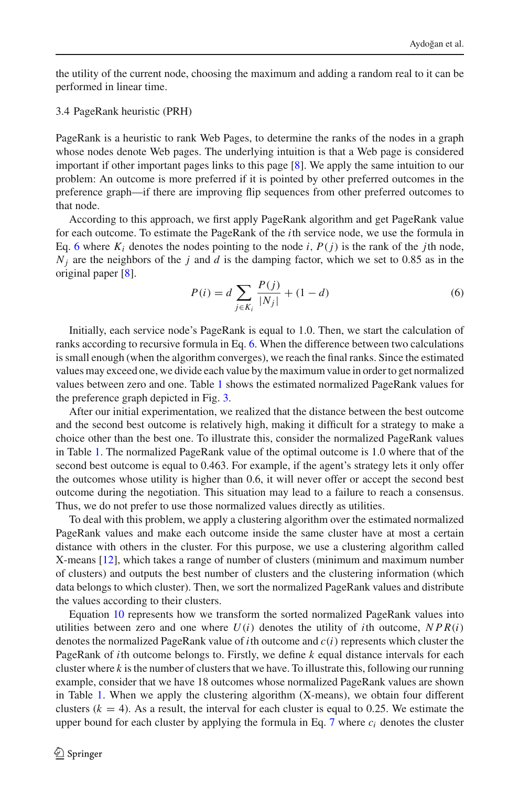the utility of the current node, choosing the maximum and adding a random real to it can be performed in linear time.

#### 3.4 PageRank heuristic (PRH)

PageRank is a heuristic to rank Web Pages, to determine the ranks of the nodes in a graph whose nodes denote Web pages. The underlying intuition is that a Web page is considered important if other important pages links to this page [\[8](#page-28-6)]. We apply the same intuition to our problem: An outcome is more preferred if it is pointed by other preferred outcomes in the preference graph—if there are improving flip sequences from other preferred outcomes to that node.

According to this approach, we first apply PageRank algorithm and get PageRank value for each outcome. To estimate the PageRank of the *i*th service node, we use the formula in Eq. [6](#page-11-0) where  $K_i$  denotes the nodes pointing to the node *i*,  $P(j)$  is the rank of the *j*th node,  $N_i$  are the neighbors of the *j* and *d* is the damping factor, which we set to 0.85 as in the original paper [\[8](#page-28-6)].

$$
P(i) = d \sum_{j \in K_i} \frac{P(j)}{|N_j|} + (1 - d)
$$
 (6)

<span id="page-11-0"></span>Initially, each service node's PageRank is equal to 1.0. Then, we start the calculation of ranks according to recursive formula in Eq. [6.](#page-11-0) When the difference between two calculations is small enough (when the algorithm converges), we reach the final ranks. Since the estimated values may exceed one, we divide each value by the maximum value in order to get normalized values between zero and one. Table [1](#page-12-0) shows the estimated normalized PageRank values for the preference graph depicted in Fig. [3.](#page-7-0)

After our initial experimentation, we realized that the distance between the best outcome and the second best outcome is relatively high, making it difficult for a strategy to make a choice other than the best one. To illustrate this, consider the normalized PageRank values in Table [1.](#page-12-0) The normalized PageRank value of the optimal outcome is 1.0 where that of the second best outcome is equal to 0.463. For example, if the agent's strategy lets it only offer the outcomes whose utility is higher than 0.6, it will never offer or accept the second best outcome during the negotiation. This situation may lead to a failure to reach a consensus. Thus, we do not prefer to use those normalized values directly as utilities.

To deal with this problem, we apply a clustering algorithm over the estimated normalized PageRank values and make each outcome inside the same cluster have at most a certain distance with others in the cluster. For this purpose, we use a clustering algorithm called X-means [\[12](#page-29-10)], which takes a range of number of clusters (minimum and maximum number of clusters) and outputs the best number of clusters and the clustering information (which data belongs to which cluster). Then, we sort the normalized PageRank values and distribute the values according to their clusters.

Equation [10](#page-13-0) represents how we transform the sorted normalized PageRank values into utilities between zero and one where  $U(i)$  denotes the utility of *i*th outcome,  $NPR(i)$ denotes the normalized PageRank value of *i*th outcome and *c*(*i*) represents which cluster the PageRank of *i*th outcome belongs to. Firstly, we define *k* equal distance intervals for each cluster where *k* is the number of clusters that we have. To illustrate this, following our running example, consider that we have 18 outcomes whose normalized PageRank values are shown in Table [1.](#page-12-0) When we apply the clustering algorithm (X-means), we obtain four different clusters  $(k = 4)$ . As a result, the interval for each cluster is equal to 0.25. We estimate the upper bound for each cluster by applying the formula in Eq.  $7$  where  $c_i$  denotes the cluster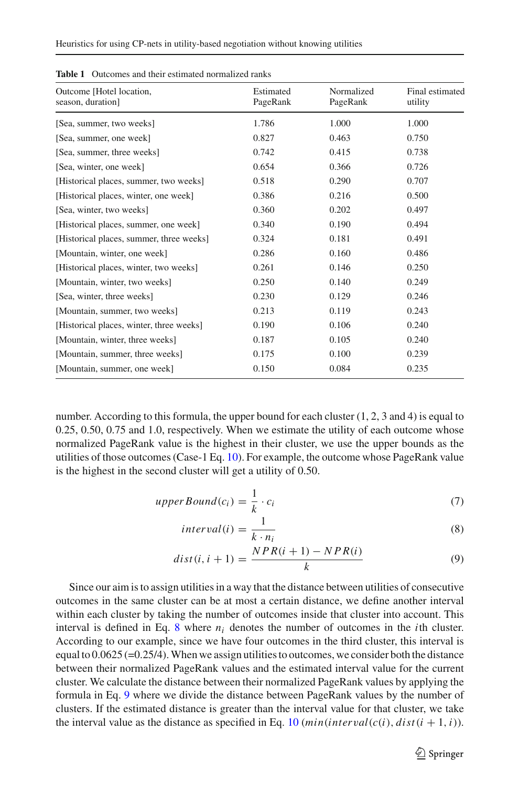<span id="page-12-0"></span>

| Outcome [Hotel location,<br>season, duration] | Estimated<br>PageRank | Normalized<br>PageRank | Final estimated<br>utility |
|-----------------------------------------------|-----------------------|------------------------|----------------------------|
| [Sea, summer, two weeks]                      | 1.786                 | 1.000                  | 1.000                      |
| [Sea, summer, one week]                       | 0.827                 | 0.463                  | 0.750                      |
| [Sea, summer, three weeks]                    | 0.742                 | 0.415                  | 0.738                      |
| [Sea, winter, one week]                       | 0.654                 | 0.366                  | 0.726                      |
| [Historical places, summer, two weeks]        | 0.518                 | 0.290                  | 0.707                      |
| [Historical places, winter, one week]         | 0.386                 | 0.216                  | 0.500                      |
| [Sea, winter, two weeks]                      | 0.360                 | 0.202                  | 0.497                      |
| [Historical places, summer, one week]         | 0.340                 | 0.190                  | 0.494                      |
| [Historical places, summer, three weeks]      | 0.324                 | 0.181                  | 0.491                      |
| [Mountain, winter, one week]                  | 0.286                 | 0.160                  | 0.486                      |
| [Historical places, winter, two weeks]        | 0.261                 | 0.146                  | 0.250                      |
| [Mountain, winter, two weeks]                 | 0.250                 | 0.140                  | 0.249                      |
| [Sea, winter, three weeks]                    | 0.230                 | 0.129                  | 0.246                      |
| [Mountain, summer, two weeks]                 | 0.213                 | 0.119                  | 0.243                      |
| [Historical places, winter, three weeks]      | 0.190                 | 0.106                  | 0.240                      |
| [Mountain, winter, three weeks]               | 0.187                 | 0.105                  | 0.240                      |
| [Mountain, summer, three weeks]               | 0.175                 | 0.100                  | 0.239                      |
| [Mountain, summer, one week]                  | 0.150                 | 0.084                  | 0.235                      |

**Table 1** Outcomes and their estimated normalized ranks

number. According to this formula, the upper bound for each cluster  $(1, 2, 3, 4)$  is equal to 0.25, 0.50, 0.75 and 1.0, respectively. When we estimate the utility of each outcome whose normalized PageRank value is the highest in their cluster, we use the upper bounds as the utilities of those outcomes (Case-1 Eq. [10\)](#page-13-0). For example, the outcome whose PageRank value is the highest in the second cluster will get a utility of 0.50.

<span id="page-12-1"></span>
$$
upperBound(c_i) = \frac{1}{k} \cdot c_i \tag{7}
$$

$$
interval(i) = \frac{1}{k \cdot n_i} \tag{8}
$$

$$
dist(i, i+1) = \frac{NPR(i+1) - NPR(i)}{k} \tag{9}
$$

Since our aim is to assign utilities in a way that the distance between utilities of consecutive outcomes in the same cluster can be at most a certain distance, we define another interval within each cluster by taking the number of outcomes inside that cluster into account. This interval is defined in Eq. [8](#page-12-1) where  $n_i$  denotes the number of outcomes in the *i*th cluster. According to our example, since we have four outcomes in the third cluster, this interval is equal to  $0.0625$  (=0.25/4). When we assign utilities to outcomes, we consider both the distance between their normalized PageRank values and the estimated interval value for the current cluster. We calculate the distance between their normalized PageRank values by applying the formula in Eq. [9](#page-12-1) where we divide the distance between PageRank values by the number of clusters. If the estimated distance is greater than the interval value for that cluster, we take the interval value as the distance as specified in Eq. [10](#page-13-0)  $(min(interval(c(i), dist(i + 1, i))$ .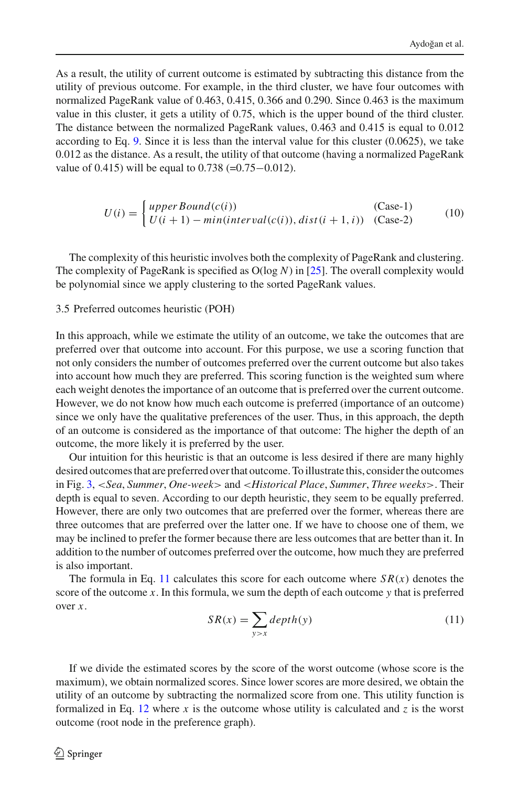As a result, the utility of current outcome is estimated by subtracting this distance from the utility of previous outcome. For example, in the third cluster, we have four outcomes with normalized PageRank value of 0.463, 0.415, 0.366 and 0.290. Since 0.463 is the maximum value in this cluster, it gets a utility of 0.75, which is the upper bound of the third cluster. The distance between the normalized PageRank values, 0.463 and 0.415 is equal to 0.012 according to Eq. [9.](#page-12-1) Since it is less than the interval value for this cluster (0.0625), we take 0.012 as the distance. As a result, the utility of that outcome (having a normalized PageRank value of 0.415) will be equal to 0.738 (=0.75−0.012).

$$
U(i) = \begin{cases} upperBound(c(i)) & (Case-1) \\ U(i+1) - min(interval(c(i)), dist(i+1, i)) & (Case-2) \end{cases}
$$
(10)

<span id="page-13-0"></span>The complexity of this heuristic involves both the complexity of PageRank and clustering. The complexity of PageRank is specified as O(log *N*) in [\[25](#page-29-11)]. The overall complexity would be polynomial since we apply clustering to the sorted PageRank values.

#### 3.5 Preferred outcomes heuristic (POH)

In this approach, while we estimate the utility of an outcome, we take the outcomes that are preferred over that outcome into account. For this purpose, we use a scoring function that not only considers the number of outcomes preferred over the current outcome but also takes into account how much they are preferred. This scoring function is the weighted sum where each weight denotes the importance of an outcome that is preferred over the current outcome. However, we do not know how much each outcome is preferred (importance of an outcome) since we only have the qualitative preferences of the user. Thus, in this approach, the depth of an outcome is considered as the importance of that outcome: The higher the depth of an outcome, the more likely it is preferred by the user.

Our intuition for this heuristic is that an outcome is less desired if there are many highly desired outcomes that are preferred over that outcome. To illustrate this, consider the outcomes in Fig. [3,](#page-7-0) <*Sea*, *Summer*, *One-week*> and <*Historical Place*, *Summer*, *Three weeks*>. Their depth is equal to seven. According to our depth heuristic, they seem to be equally preferred. However, there are only two outcomes that are preferred over the former, whereas there are three outcomes that are preferred over the latter one. If we have to choose one of them, we may be inclined to prefer the former because there are less outcomes that are better than it. In addition to the number of outcomes preferred over the outcome, how much they are preferred is also important.

<span id="page-13-1"></span>The formula in Eq. [11](#page-13-1) calculates this score for each outcome where  $SR(x)$  denotes the score of the outcome *x*. In this formula, we sum the depth of each outcome *y* that is preferred over *x*.

$$
SR(x) = \sum_{y>x} depth(y)
$$
 (11)

If we divide the estimated scores by the score of the worst outcome (whose score is the maximum), we obtain normalized scores. Since lower scores are more desired, we obtain the utility of an outcome by subtracting the normalized score from one. This utility function is formalized in Eq. [12](#page-14-1) where  $x$  is the outcome whose utility is calculated and  $z$  is the worst outcome (root node in the preference graph).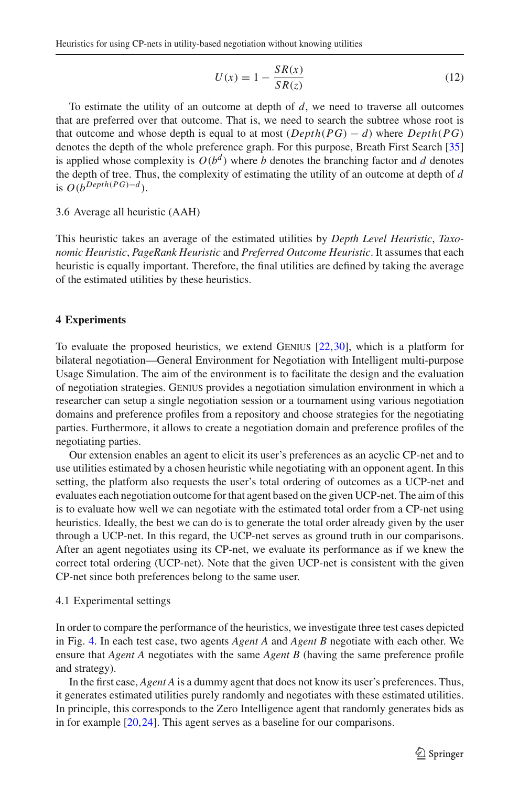$$
U(x) = 1 - \frac{SR(x)}{SR(z)}
$$
\n<sup>(12)</sup>

<span id="page-14-1"></span>To estimate the utility of an outcome at depth of *d*, we need to traverse all outcomes that are preferred over that outcome. That is, we need to search the subtree whose root is that outcome and whose depth is equal to at most  $(Depth(PG) - d)$  where  $Depth(PG)$ denotes the depth of the whole preference graph. For this purpose, Breath First Search [\[35\]](#page-29-12) is applied whose complexity is  $O(b^d)$  where *b* denotes the branching factor and *d* denotes the depth of tree. Thus, the complexity of estimating the utility of an outcome at depth of *d* is *O*(*bDepth*(*PG*)−*<sup>d</sup>* ).

## 3.6 Average all heuristic (AAH)

This heuristic takes an average of the estimated utilities by *Depth Level Heuristic*, *Taxonomic Heuristic*, *PageRank Heuristic* and *Preferred Outcome Heuristic*. It assumes that each heuristic is equally important. Therefore, the final utilities are defined by taking the average of the estimated utilities by these heuristics.

## <span id="page-14-0"></span>**4 Experiments**

To evaluate the proposed heuristics, we extend Genius [\[22,](#page-29-6)[30](#page-29-7)], which is a platform for bilateral negotiation—General Environment for Negotiation with Intelligent multi-purpose Usage Simulation. The aim of the environment is to facilitate the design and the evaluation of negotiation strategies. Genius provides a negotiation simulation environment in which a researcher can setup a single negotiation session or a tournament using various negotiation domains and preference profiles from a repository and choose strategies for the negotiating parties. Furthermore, it allows to create a negotiation domain and preference profiles of the negotiating parties.

Our extension enables an agent to elicit its user's preferences as an acyclic CP-net and to use utilities estimated by a chosen heuristic while negotiating with an opponent agent. In this setting, the platform also requests the user's total ordering of outcomes as a UCP-net and evaluates each negotiation outcome for that agent based on the given UCP-net. The aim of this is to evaluate how well we can negotiate with the estimated total order from a CP-net using heuristics. Ideally, the best we can do is to generate the total order already given by the user through a UCP-net. In this regard, the UCP-net serves as ground truth in our comparisons. After an agent negotiates using its CP-net, we evaluate its performance as if we knew the correct total ordering (UCP-net). Note that the given UCP-net is consistent with the given CP-net since both preferences belong to the same user.

## 4.1 Experimental settings

In order to compare the performance of the heuristics, we investigate three test cases depicted in Fig. [4.](#page-15-0) In each test case, two agents *Agent A* and *Agent B* negotiate with each other. We ensure that *Agent A* negotiates with the same *Agent B* (having the same preference profile and strategy).

In the first case, *Agent A* is a dummy agent that does not know its user's preferences. Thus, it generates estimated utilities purely randomly and negotiates with these estimated utilities. In principle, this corresponds to the Zero Intelligence agent that randomly generates bids as in for example [\[20](#page-29-13)[,24\]](#page-29-14). This agent serves as a baseline for our comparisons.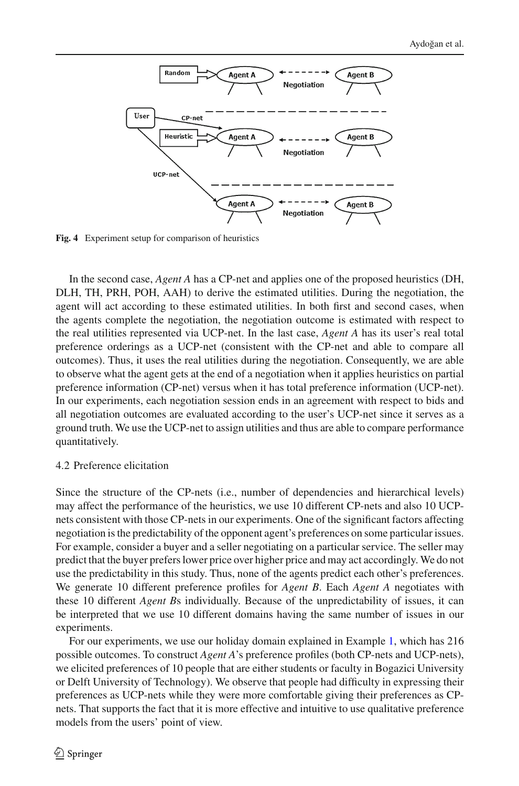

<span id="page-15-0"></span>**Fig. 4** Experiment setup for comparison of heuristics

In the second case, *Agent A* has a CP-net and applies one of the proposed heuristics (DH, DLH, TH, PRH, POH, AAH) to derive the estimated utilities. During the negotiation, the agent will act according to these estimated utilities. In both first and second cases, when the agents complete the negotiation, the negotiation outcome is estimated with respect to the real utilities represented via UCP-net. In the last case, *Agent A* has its user's real total preference orderings as a UCP-net (consistent with the CP-net and able to compare all outcomes). Thus, it uses the real utilities during the negotiation. Consequently, we are able to observe what the agent gets at the end of a negotiation when it applies heuristics on partial preference information (CP-net) versus when it has total preference information (UCP-net). In our experiments, each negotiation session ends in an agreement with respect to bids and all negotiation outcomes are evaluated according to the user's UCP-net since it serves as a ground truth. We use the UCP-net to assign utilities and thus are able to compare performance quantitatively.

#### 4.2 Preference elicitation

Since the structure of the CP-nets (i.e., number of dependencies and hierarchical levels) may affect the performance of the heuristics, we use 10 different CP-nets and also 10 UCPnets consistent with those CP-nets in our experiments. One of the significant factors affecting negotiation is the predictability of the opponent agent's preferences on some particular issues. For example, consider a buyer and a seller negotiating on a particular service. The seller may predict that the buyer prefers lower price over higher price and may act accordingly. We do not use the predictability in this study. Thus, none of the agents predict each other's preferences. We generate 10 different preference profiles for *Agent B*. Each *Agent A* negotiates with these 10 different *Agent B*s individually. Because of the unpredictability of issues, it can be interpreted that we use 10 different domains having the same number of issues in our experiments.

For our experiments, we use our holiday domain explained in Example [1,](#page-3-1) which has 216 possible outcomes. To construct *Agent A*'s preference profiles (both CP-nets and UCP-nets), we elicited preferences of 10 people that are either students or faculty in Bogazici University or Delft University of Technology). We observe that people had difficulty in expressing their preferences as UCP-nets while they were more comfortable giving their preferences as CPnets. That supports the fact that it is more effective and intuitive to use qualitative preference models from the users' point of view.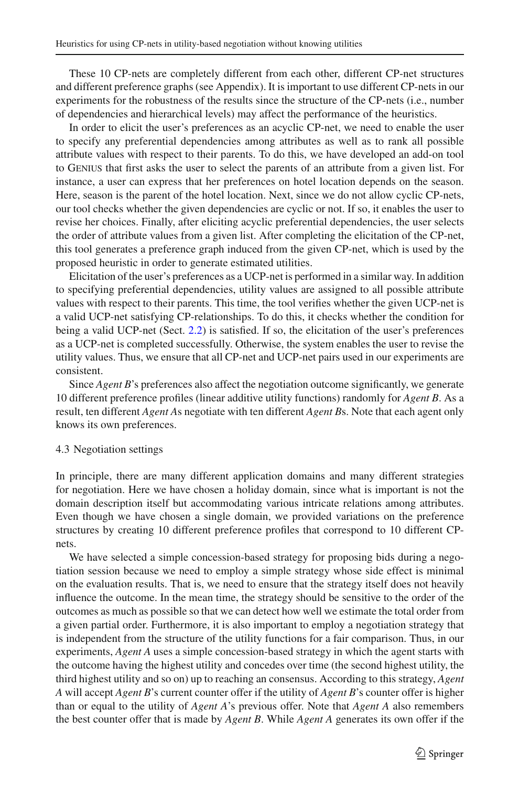These 10 CP-nets are completely different from each other, different CP-net structures and different preference graphs (see Appendix). It is important to use different CP-nets in our experiments for the robustness of the results since the structure of the CP-nets (i.e., number of dependencies and hierarchical levels) may affect the performance of the heuristics.

In order to elicit the user's preferences as an acyclic CP-net, we need to enable the user to specify any preferential dependencies among attributes as well as to rank all possible attribute values with respect to their parents. To do this, we have developed an add-on tool to Genius that first asks the user to select the parents of an attribute from a given list. For instance, a user can express that her preferences on hotel location depends on the season. Here, season is the parent of the hotel location. Next, since we do not allow cyclic CP-nets, our tool checks whether the given dependencies are cyclic or not. If so, it enables the user to revise her choices. Finally, after eliciting acyclic preferential dependencies, the user selects the order of attribute values from a given list. After completing the elicitation of the CP-net, this tool generates a preference graph induced from the given CP-net, which is used by the proposed heuristic in order to generate estimated utilities.

Elicitation of the user's preferences as a UCP-net is performed in a similar way. In addition to specifying preferential dependencies, utility values are assigned to all possible attribute values with respect to their parents. This time, the tool verifies whether the given UCP-net is a valid UCP-net satisfying CP-relationships. To do this, it checks whether the condition for being a valid UCP-net (Sect. [2.2\)](#page-4-1) is satisfied. If so, the elicitation of the user's preferences as a UCP-net is completed successfully. Otherwise, the system enables the user to revise the utility values. Thus, we ensure that all CP-net and UCP-net pairs used in our experiments are consistent.

Since *Agent B*'s preferences also affect the negotiation outcome significantly, we generate 10 different preference profiles (linear additive utility functions) randomly for *Agent B*. As a result, ten different *Agent A*s negotiate with ten different *Agent B*s. Note that each agent only knows its own preferences.

#### <span id="page-16-0"></span>4.3 Negotiation settings

In principle, there are many different application domains and many different strategies for negotiation. Here we have chosen a holiday domain, since what is important is not the domain description itself but accommodating various intricate relations among attributes. Even though we have chosen a single domain, we provided variations on the preference structures by creating 10 different preference profiles that correspond to 10 different CPnets.

We have selected a simple concession-based strategy for proposing bids during a negotiation session because we need to employ a simple strategy whose side effect is minimal on the evaluation results. That is, we need to ensure that the strategy itself does not heavily influence the outcome. In the mean time, the strategy should be sensitive to the order of the outcomes as much as possible so that we can detect how well we estimate the total order from a given partial order. Furthermore, it is also important to employ a negotiation strategy that is independent from the structure of the utility functions for a fair comparison. Thus, in our experiments, *Agent A* uses a simple concession-based strategy in which the agent starts with the outcome having the highest utility and concedes over time (the second highest utility, the third highest utility and so on) up to reaching an consensus. According to this strategy, *Agent A* will accept *Agent B*'s current counter offer if the utility of *Agent B*'s counter offer is higher than or equal to the utility of *Agent A*'s previous offer. Note that *Agent A* also remembers the best counter offer that is made by *Agent B*. While *Agent A* generates its own offer if the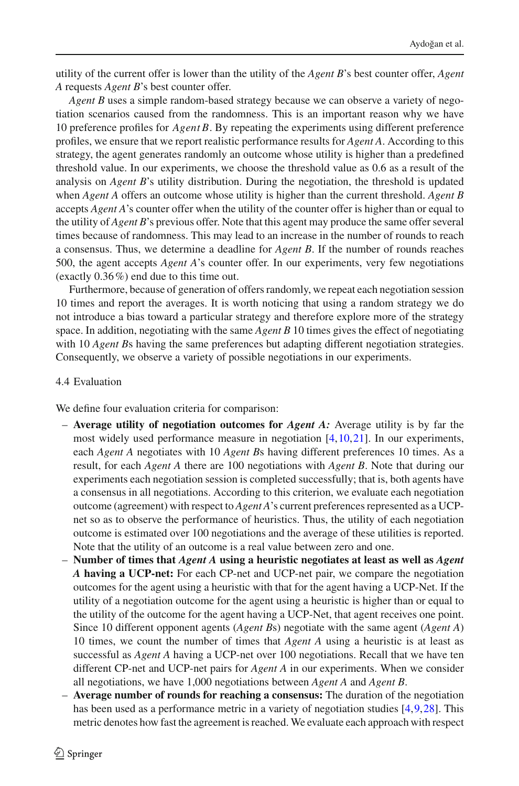utility of the current offer is lower than the utility of the *Agent B*'s best counter offer, *Agent A* requests *Agent B*'s best counter offer.

*Agent B* uses a simple random-based strategy because we can observe a variety of negotiation scenarios caused from the randomness. This is an important reason why we have 10 preference profiles for *Agent B*. By repeating the experiments using different preference profiles, we ensure that we report realistic performance results for *Agent A*. According to this strategy, the agent generates randomly an outcome whose utility is higher than a predefined threshold value. In our experiments, we choose the threshold value as 0.6 as a result of the analysis on *Agent B*'s utility distribution. During the negotiation, the threshold is updated when *Agent A* offers an outcome whose utility is higher than the current threshold. *Agent B* accepts *Agent A*'s counter offer when the utility of the counter offer is higher than or equal to the utility of *Agent B*'s previous offer. Note that this agent may produce the same offer several times because of randomness. This may lead to an increase in the number of rounds to reach a consensus. Thus, we determine a deadline for *Agent B*. If the number of rounds reaches 500, the agent accepts *Agent A*'s counter offer. In our experiments, very few negotiations (exactly 0.36%) end due to this time out.

Furthermore, because of generation of offers randomly, we repeat each negotiation session 10 times and report the averages. It is worth noticing that using a random strategy we do not introduce a bias toward a particular strategy and therefore explore more of the strategy space. In addition, negotiating with the same *Agent B* 10 times gives the effect of negotiating with 10 *Agent Bs* having the same preferences but adapting different negotiation strategies. Consequently, we observe a variety of possible negotiations in our experiments.

### <span id="page-17-0"></span>4.4 Evaluation

We define four evaluation criteria for comparison:

- **Average utility of negotiation outcomes for** *Agent A:* Average utility is by far the most widely used performance measure in negotiation [\[4,](#page-28-7)[10](#page-29-15)[,21\]](#page-29-16). In our experiments, each *Agent A* negotiates with 10 *Agent B*s having different preferences 10 times. As a result, for each *Agent A* there are 100 negotiations with *Agent B*. Note that during our experiments each negotiation session is completed successfully; that is, both agents have a consensus in all negotiations. According to this criterion, we evaluate each negotiation outcome (agreement) with respect to *Agent A*'s current preferences represented as a UCPnet so as to observe the performance of heuristics. Thus, the utility of each negotiation outcome is estimated over 100 negotiations and the average of these utilities is reported. Note that the utility of an outcome is a real value between zero and one.
- **Number of times that** *Agent A* **using a heuristic negotiates at least as well as** *Agent A* **having a UCP-net:** For each CP-net and UCP-net pair, we compare the negotiation outcomes for the agent using a heuristic with that for the agent having a UCP-Net. If the utility of a negotiation outcome for the agent using a heuristic is higher than or equal to the utility of the outcome for the agent having a UCP-Net, that agent receives one point. Since 10 different opponent agents (*Agent B*s) negotiate with the same agent (*Agent A*) 10 times, we count the number of times that *Agent A* using a heuristic is at least as successful as *Agent A* having a UCP-net over 100 negotiations. Recall that we have ten different CP-net and UCP-net pairs for *Agent A* in our experiments. When we consider all negotiations, we have 1,000 negotiations between *Agent A* and *Agent B*.
- **Average number of rounds for reaching a consensus:** The duration of the negotiation has been used as a performance metric in a variety of negotiation studies [\[4](#page-28-7)[,9,](#page-29-17)[28](#page-29-18)]. This metric denotes how fast the agreement is reached. We evaluate each approach with respect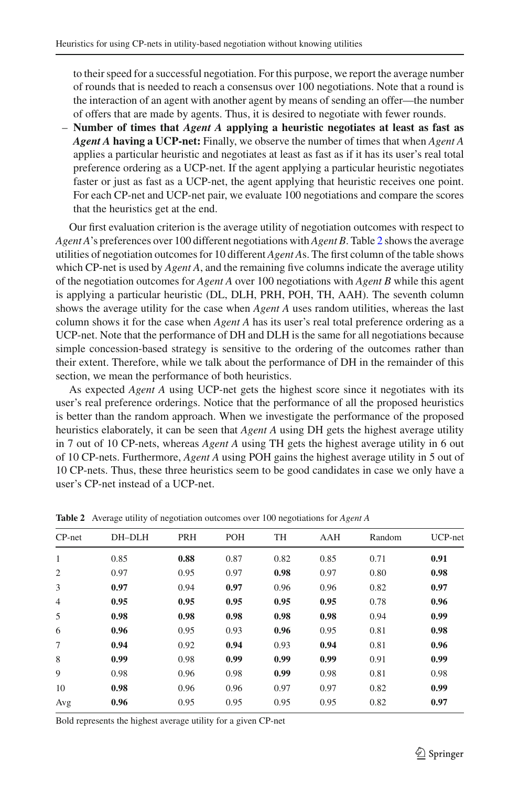to their speed for a successful negotiation. For this purpose, we report the average number of rounds that is needed to reach a consensus over 100 negotiations. Note that a round is the interaction of an agent with another agent by means of sending an offer—the number of offers that are made by agents. Thus, it is desired to negotiate with fewer rounds.

– **Number of times that** *Agent A* **applying a heuristic negotiates at least as fast as** *Agent A* **having a UCP-net:** Finally, we observe the number of times that when *Agent A* applies a particular heuristic and negotiates at least as fast as if it has its user's real total preference ordering as a UCP-net. If the agent applying a particular heuristic negotiates faster or just as fast as a UCP-net, the agent applying that heuristic receives one point. For each CP-net and UCP-net pair, we evaluate 100 negotiations and compare the scores that the heuristics get at the end.

Our first evaluation criterion is the average utility of negotiation outcomes with respect to *Agent A*'s preferences over 100 different negotiations with *Agent B*. Table [2](#page-18-0) shows the average utilities of negotiation outcomes for 10 different *Agent A*s. The first column of the table shows which CP-net is used by *Agent A*, and the remaining five columns indicate the average utility of the negotiation outcomes for *Agent A* over 100 negotiations with *Agent B* while this agent is applying a particular heuristic (DL, DLH, PRH, POH, TH, AAH). The seventh column shows the average utility for the case when *Agent A* uses random utilities, whereas the last column shows it for the case when *Agent A* has its user's real total preference ordering as a UCP-net. Note that the performance of DH and DLH is the same for all negotiations because simple concession-based strategy is sensitive to the ordering of the outcomes rather than their extent. Therefore, while we talk about the performance of DH in the remainder of this section, we mean the performance of both heuristics.

As expected *Agent A* using UCP-net gets the highest score since it negotiates with its user's real preference orderings. Notice that the performance of all the proposed heuristics is better than the random approach. When we investigate the performance of the proposed heuristics elaborately, it can be seen that *Agent A* using DH gets the highest average utility in 7 out of 10 CP-nets, whereas *Agent A* using TH gets the highest average utility in 6 out of 10 CP-nets. Furthermore, *Agent A* using POH gains the highest average utility in 5 out of 10 CP-nets. Thus, these three heuristics seem to be good candidates in case we only have a user's CP-net instead of a UCP-net.

<span id="page-18-0"></span>

| $CP$ -net      | DH-DLH | <b>PRH</b> | <b>POH</b> | <b>TH</b> | AAH  | Random | UCP-net |
|----------------|--------|------------|------------|-----------|------|--------|---------|
| $\mathbf{1}$   | 0.85   | 0.88       | 0.87       | 0.82      | 0.85 | 0.71   | 0.91    |
| 2              | 0.97   | 0.95       | 0.97       | 0.98      | 0.97 | 0.80   | 0.98    |
| 3              | 0.97   | 0.94       | 0.97       | 0.96      | 0.96 | 0.82   | 0.97    |
| $\overline{4}$ | 0.95   | 0.95       | 0.95       | 0.95      | 0.95 | 0.78   | 0.96    |
| 5              | 0.98   | 0.98       | 0.98       | 0.98      | 0.98 | 0.94   | 0.99    |
| 6              | 0.96   | 0.95       | 0.93       | 0.96      | 0.95 | 0.81   | 0.98    |
| 7              | 0.94   | 0.92       | 0.94       | 0.93      | 0.94 | 0.81   | 0.96    |
| 8              | 0.99   | 0.98       | 0.99       | 0.99      | 0.99 | 0.91   | 0.99    |
| 9              | 0.98   | 0.96       | 0.98       | 0.99      | 0.98 | 0.81   | 0.98    |
| 10             | 0.98   | 0.96       | 0.96       | 0.97      | 0.97 | 0.82   | 0.99    |
| Avg            | 0.96   | 0.95       | 0.95       | 0.95      | 0.95 | 0.82   | 0.97    |

**Table 2** Average utility of negotiation outcomes over 100 negotiations for *Agent A*

Bold represents the highest average utility for a given CP-net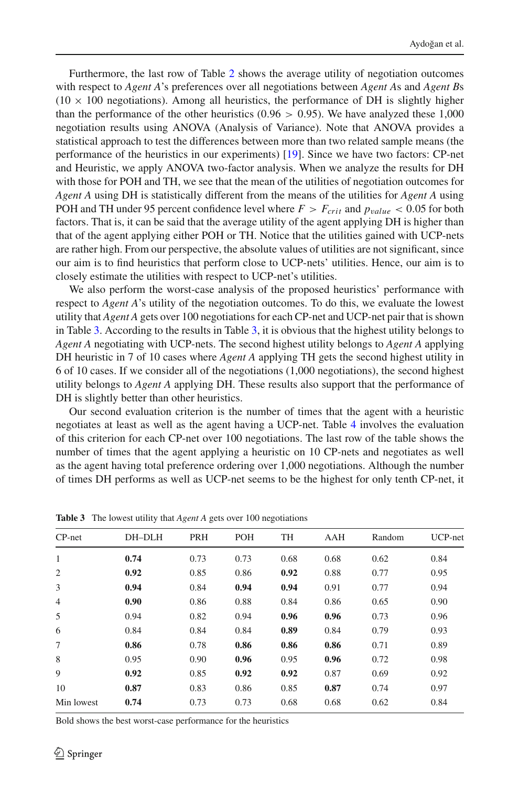Furthermore, the last row of Table [2](#page-18-0) shows the average utility of negotiation outcomes with respect to *Agent A*'s preferences over all negotiations between *Agent A*s and *Agent B*s  $(10 \times 100$  negotiations). Among all heuristics, the performance of DH is slightly higher than the performance of the other heuristics  $(0.96 \ge 0.95)$ . We have analyzed these 1,000 negotiation results using ANOVA (Analysis of Variance). Note that ANOVA provides a statistical approach to test the differences between more than two related sample means (the performance of the heuristics in our experiments) [\[19](#page-29-19)]. Since we have two factors: CP-net and Heuristic, we apply ANOVA two-factor analysis. When we analyze the results for DH with those for POH and TH, we see that the mean of the utilities of negotiation outcomes for *Agent A* using DH is statistically different from the means of the utilities for *Agent A* using POH and TH under 95 percent confidence level where  $F > F_{crit}$  and  $p_{value} < 0.05$  for both factors. That is, it can be said that the average utility of the agent applying DH is higher than that of the agent applying either POH or TH. Notice that the utilities gained with UCP-nets are rather high. From our perspective, the absolute values of utilities are not significant, since our aim is to find heuristics that perform close to UCP-nets' utilities. Hence, our aim is to closely estimate the utilities with respect to UCP-net's utilities.

We also perform the worst-case analysis of the proposed heuristics' performance with respect to *Agent A*'s utility of the negotiation outcomes. To do this, we evaluate the lowest utility that *Agent A* gets over 100 negotiations for each CP-net and UCP-net pair that is shown in Table  $3$ . According to the results in Table  $3$ , it is obvious that the highest utility belongs to *Agent A* negotiating with UCP-nets. The second highest utility belongs to *Agent A* applying DH heuristic in 7 of 10 cases where *Agent A* applying TH gets the second highest utility in 6 of 10 cases. If we consider all of the negotiations (1,000 negotiations), the second highest utility belongs to *Agent A* applying DH. These results also support that the performance of DH is slightly better than other heuristics.

Our second evaluation criterion is the number of times that the agent with a heuristic negotiates at least as well as the agent having a UCP-net. Table [4](#page-20-0) involves the evaluation of this criterion for each CP-net over 100 negotiations. The last row of the table shows the number of times that the agent applying a heuristic on 10 CP-nets and negotiates as well as the agent having total preference ordering over 1,000 negotiations. Although the number of times DH performs as well as UCP-net seems to be the highest for only tenth CP-net, it

<span id="page-19-0"></span>

| $CP$ -net      | DH-DLH | <b>PRH</b> | <b>POH</b> | <b>TH</b> | AAH  | Random | UCP-net |
|----------------|--------|------------|------------|-----------|------|--------|---------|
| $\mathbf{1}$   | 0.74   | 0.73       | 0.73       | 0.68      | 0.68 | 0.62   | 0.84    |
| 2              | 0.92   | 0.85       | 0.86       | 0.92      | 0.88 | 0.77   | 0.95    |
| 3              | 0.94   | 0.84       | 0.94       | 0.94      | 0.91 | 0.77   | 0.94    |
| $\overline{4}$ | 0.90   | 0.86       | 0.88       | 0.84      | 0.86 | 0.65   | 0.90    |
| 5              | 0.94   | 0.82       | 0.94       | 0.96      | 0.96 | 0.73   | 0.96    |
| 6              | 0.84   | 0.84       | 0.84       | 0.89      | 0.84 | 0.79   | 0.93    |
| 7              | 0.86   | 0.78       | 0.86       | 0.86      | 0.86 | 0.71   | 0.89    |
| 8              | 0.95   | 0.90       | 0.96       | 0.95      | 0.96 | 0.72   | 0.98    |
| 9              | 0.92   | 0.85       | 0.92       | 0.92      | 0.87 | 0.69   | 0.92    |
| 10             | 0.87   | 0.83       | 0.86       | 0.85      | 0.87 | 0.74   | 0.97    |
| Min lowest     | 0.74   | 0.73       | 0.73       | 0.68      | 0.68 | 0.62   | 0.84    |

**Table 3** The lowest utility that *Agent A* gets over 100 negotiations

Bold shows the best worst-case performance for the heuristics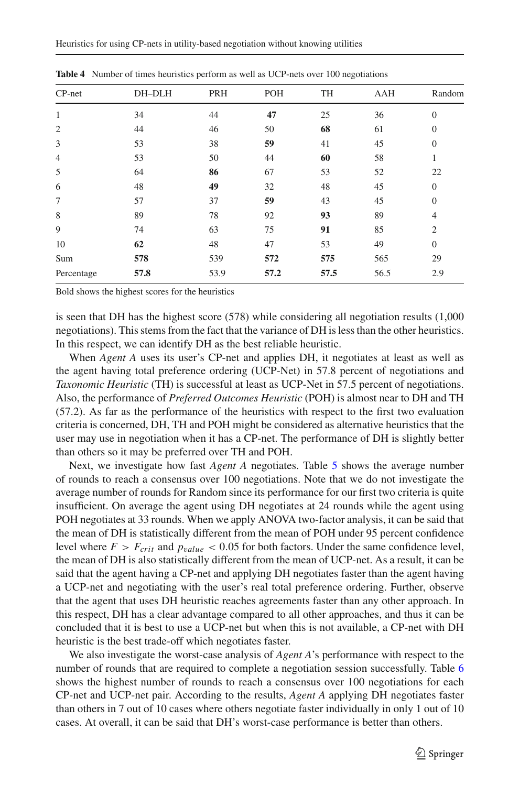<span id="page-20-0"></span>

| $CP$ -net      | DH-DLH | PRH  | POH  | TH   | AAH  | Random         |
|----------------|--------|------|------|------|------|----------------|
| 1              | 34     | 44   | 47   | 25   | 36   | $\Omega$       |
| $\overline{2}$ | 44     | 46   | 50   | 68   | 61   | $\theta$       |
| 3              | 53     | 38   | 59   | 41   | 45   | $\overline{0}$ |
| $\overline{4}$ | 53     | 50   | 44   | 60   | 58   | 1              |
| 5              | 64     | 86   | 67   | 53   | 52   | 22             |
| 6              | 48     | 49   | 32   | 48   | 45   | $\overline{0}$ |
| 7              | 57     | 37   | 59   | 43   | 45   | $\Omega$       |
| 8              | 89     | 78   | 92   | 93   | 89   | 4              |
| 9              | 74     | 63   | 75   | 91   | 85   | $\overline{2}$ |
| 10             | 62     | 48   | 47   | 53   | 49   | $\theta$       |
| Sum            | 578    | 539  | 572  | 575  | 565  | 29             |
| Percentage     | 57.8   | 53.9 | 57.2 | 57.5 | 56.5 | 2.9            |

**Table 4** Number of times heuristics perform as well as UCP-nets over 100 negotiations

Bold shows the highest scores for the heuristics

is seen that DH has the highest score (578) while considering all negotiation results (1,000 negotiations). This stems from the fact that the variance of DH is less than the other heuristics. In this respect, we can identify DH as the best reliable heuristic.

When *Agent A* uses its user's CP-net and applies DH, it negotiates at least as well as the agent having total preference ordering (UCP-Net) in 57.8 percent of negotiations and *Taxonomic Heuristic* (TH) is successful at least as UCP-Net in 57.5 percent of negotiations. Also, the performance of *Preferred Outcomes Heuristic* (POH) is almost near to DH and TH (57.2). As far as the performance of the heuristics with respect to the first two evaluation criteria is concerned, DH, TH and POH might be considered as alternative heuristics that the user may use in negotiation when it has a CP-net. The performance of DH is slightly better than others so it may be preferred over TH and POH.

Next, we investigate how fast *Agent A* negotiates. Table [5](#page-21-0) shows the average number of rounds to reach a consensus over 100 negotiations. Note that we do not investigate the average number of rounds for Random since its performance for our first two criteria is quite insufficient. On average the agent using DH negotiates at 24 rounds while the agent using POH negotiates at 33 rounds. When we apply ANOVA two-factor analysis, it can be said that the mean of DH is statistically different from the mean of POH under 95 percent confidence level where  $F > F_{crit}$  and  $p_{value} < 0.05$  for both factors. Under the same confidence level, the mean of DH is also statistically different from the mean of UCP-net. As a result, it can be said that the agent having a CP-net and applying DH negotiates faster than the agent having a UCP-net and negotiating with the user's real total preference ordering. Further, observe that the agent that uses DH heuristic reaches agreements faster than any other approach. In this respect, DH has a clear advantage compared to all other approaches, and thus it can be concluded that it is best to use a UCP-net but when this is not available, a CP-net with DH heuristic is the best trade-off which negotiates faster.

We also investigate the worst-case analysis of *Agent A*'s performance with respect to the number of rounds that are required to complete a negotiation session successfully. Table [6](#page-21-1) shows the highest number of rounds to reach a consensus over 100 negotiations for each CP-net and UCP-net pair. According to the results, *Agent A* applying DH negotiates faster than others in 7 out of 10 cases where others negotiate faster individually in only 1 out of 10 cases. At overall, it can be said that DH's worst-case performance is better than others.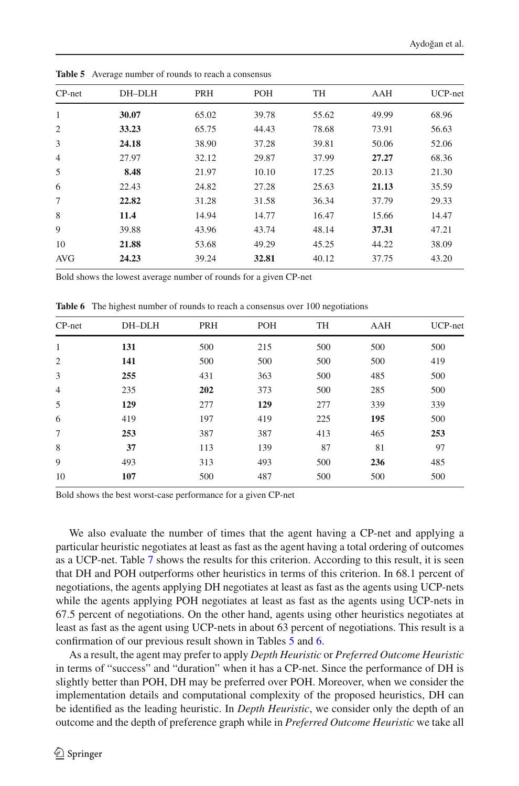<span id="page-21-0"></span>

| $CP$ -net      | DH-DLH | PRH   | <b>POH</b> | TH    | AAH   | UCP-net |
|----------------|--------|-------|------------|-------|-------|---------|
| 1              | 30.07  | 65.02 | 39.78      | 55.62 | 49.99 | 68.96   |
| 2              | 33.23  | 65.75 | 44.43      | 78.68 | 73.91 | 56.63   |
| 3              | 24.18  | 38.90 | 37.28      | 39.81 | 50.06 | 52.06   |
| $\overline{4}$ | 27.97  | 32.12 | 29.87      | 37.99 | 27.27 | 68.36   |
| 5              | 8.48   | 21.97 | 10.10      | 17.25 | 20.13 | 21.30   |
| 6              | 22.43  | 24.82 | 27.28      | 25.63 | 21.13 | 35.59   |
| 7              | 22.82  | 31.28 | 31.58      | 36.34 | 37.79 | 29.33   |
| 8              | 11.4   | 14.94 | 14.77      | 16.47 | 15.66 | 14.47   |
| 9              | 39.88  | 43.96 | 43.74      | 48.14 | 37.31 | 47.21   |
| 10             | 21.88  | 53.68 | 49.29      | 45.25 | 44.22 | 38.09   |
| <b>AVG</b>     | 24.23  | 39.24 | 32.81      | 40.12 | 37.75 | 43.20   |

**Table 5** Average number of rounds to reach a consensus

Bold shows the lowest average number of rounds for a given CP-net

<span id="page-21-1"></span>

| $CP$ -net      | DH-DLH | <b>PRH</b> | <b>POH</b> | TH  | AAH | UCP-net |
|----------------|--------|------------|------------|-----|-----|---------|
| 1              | 131    | 500        | 215        | 500 | 500 | 500     |
| $\overline{c}$ | 141    | 500        | 500        | 500 | 500 | 419     |
| 3              | 255    | 431        | 363        | 500 | 485 | 500     |
| $\overline{4}$ | 235    | 202        | 373        | 500 | 285 | 500     |
| 5              | 129    | 277        | 129        | 277 | 339 | 339     |
| 6              | 419    | 197        | 419        | 225 | 195 | 500     |
| 7              | 253    | 387        | 387        | 413 | 465 | 253     |
| 8              | 37     | 113        | 139        | 87  | 81  | 97      |
| 9              | 493    | 313        | 493        | 500 | 236 | 485     |
| 10             | 107    | 500        | 487        | 500 | 500 | 500     |

**Table 6** The highest number of rounds to reach a consensus over 100 negotiations

Bold shows the best worst-case performance for a given CP-net

We also evaluate the number of times that the agent having a CP-net and applying a particular heuristic negotiates at least as fast as the agent having a total ordering of outcomes as a UCP-net. Table [7](#page-22-1) shows the results for this criterion. According to this result, it is seen that DH and POH outperforms other heuristics in terms of this criterion. In 68.1 percent of negotiations, the agents applying DH negotiates at least as fast as the agents using UCP-nets while the agents applying POH negotiates at least as fast as the agents using UCP-nets in 67.5 percent of negotiations. On the other hand, agents using other heuristics negotiates at least as fast as the agent using UCP-nets in about 63 percent of negotiations. This result is a confirmation of our previous result shown in Tables [5](#page-21-0) and [6.](#page-21-1)

As a result, the agent may prefer to apply *Depth Heuristic* or *Preferred Outcome Heuristic* in terms of "success" and "duration" when it has a CP-net. Since the performance of DH is slightly better than POH, DH may be preferred over POH. Moreover, when we consider the implementation details and computational complexity of the proposed heuristics, DH can be identified as the leading heuristic. In *Depth Heuristic*, we consider only the depth of an outcome and the depth of preference graph while in *Preferred Outcome Heuristic* we take all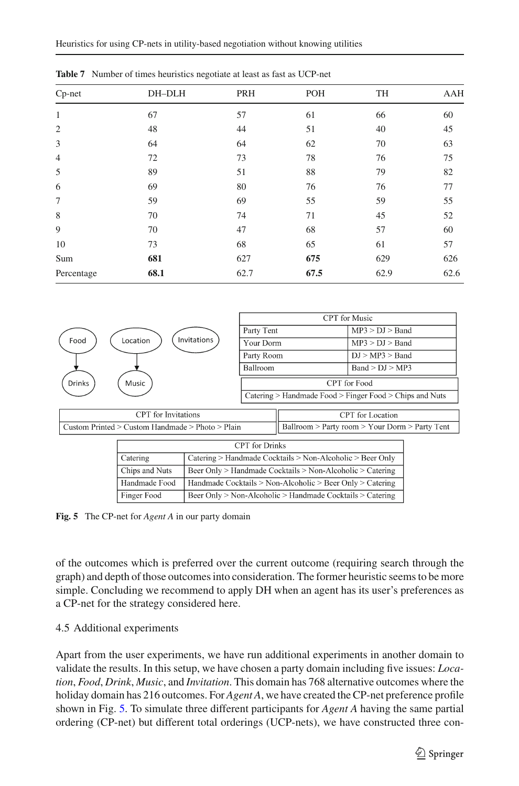| Heuristics for using CP-nets in utility-based negotiation without knowing utilities |  |
|-------------------------------------------------------------------------------------|--|
|-------------------------------------------------------------------------------------|--|

<span id="page-22-1"></span>

| C <sub>p-net</sub> | DH-DLH | PRH  | POH  | TH   | AAH  |
|--------------------|--------|------|------|------|------|
| 1                  | 67     | 57   | 61   | 66   | 60   |
| 2                  | 48     | 44   | 51   | 40   | 45   |
| $\mathfrak{Z}$     | 64     | 64   | 62   | 70   | 63   |
| $\overline{4}$     | 72     | 73   | 78   | 76   | 75   |
| 5                  | 89     | 51   | 88   | 79   | 82   |
| 6                  | 69     | 80   | 76   | 76   | 77   |
| $\overline{7}$     | 59     | 69   | 55   | 59   | 55   |
| 8                  | 70     | 74   | 71   | 45   | 52   |
| 9                  | 70     | 47   | 68   | 57   | 60   |
| 10                 | 73     | 68   | 65   | 61   | 57   |
| Sum                | 681    | 627  | 675  | 629  | 626  |
| Percentage         | 68.1   | 62.7 | 67.5 | 62.9 | 62.6 |



<span id="page-22-2"></span>

|  | Fig. 5 The CP-net for <i>Agent A</i> in our party domain |  |  |  |  |
|--|----------------------------------------------------------|--|--|--|--|
|--|----------------------------------------------------------|--|--|--|--|

**Finger Food** 

of the outcomes which is preferred over the current outcome (requiring search through the graph) and depth of those outcomes into consideration. The former heuristic seems to be more simple. Concluding we recommend to apply DH when an agent has its user's preferences as a CP-net for the strategy considered here.

Beer Only > Non-Alcoholic > Handmade Cocktails > Catering

## <span id="page-22-0"></span>4.5 Additional experiments

Apart from the user experiments, we have run additional experiments in another domain to validate the results. In this setup, we have chosen a party domain including five issues: *Location*, *Food*, *Drink*, *Music*, and *Invitation*. This domain has 768 alternative outcomes where the holiday domain has 216 outcomes. For *Agent A*, we have created the CP-net preference profile shown in Fig. [5.](#page-22-2) To simulate three different participants for *Agent A* having the same partial ordering (CP-net) but different total orderings (UCP-nets), we have constructed three con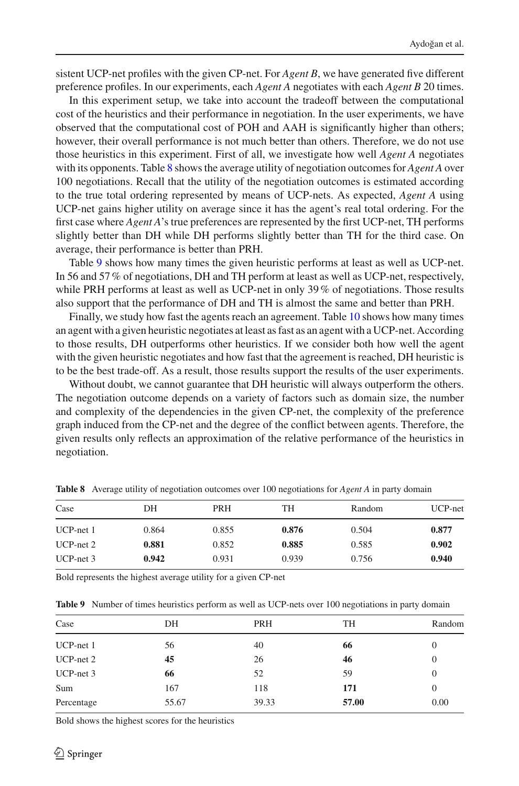sistent UCP-net profiles with the given CP-net. For *Agent B*, we have generated five different preference profiles. In our experiments, each *Agent A* negotiates with each *Agent B* 20 times.

In this experiment setup, we take into account the tradeoff between the computational cost of the heuristics and their performance in negotiation. In the user experiments, we have observed that the computational cost of POH and AAH is significantly higher than others; however, their overall performance is not much better than others. Therefore, we do not use those heuristics in this experiment. First of all, we investigate how well *Agent A* negotiates with its opponents. Table [8](#page-23-0) shows the average utility of negotiation outcomes for *Agent A* over 100 negotiations. Recall that the utility of the negotiation outcomes is estimated according to the true total ordering represented by means of UCP-nets. As expected, *Agent A* using UCP-net gains higher utility on average since it has the agent's real total ordering. For the first case where *Agent A*'s true preferences are represented by the first UCP-net, TH performs slightly better than DH while DH performs slightly better than TH for the third case. On average, their performance is better than PRH.

Table [9](#page-23-1) shows how many times the given heuristic performs at least as well as UCP-net. In 56 and 57% of negotiations, DH and TH perform at least as well as UCP-net, respectively, while PRH performs at least as well as UCP-net in only 39% of negotiations. Those results also support that the performance of DH and TH is almost the same and better than PRH.

Finally, we study how fast the agents reach an agreement. Table [10](#page-24-1) shows how many times an agent with a given heuristic negotiates at least as fast as an agent with a UCP-net. According to those results, DH outperforms other heuristics. If we consider both how well the agent with the given heuristic negotiates and how fast that the agreement is reached, DH heuristic is to be the best trade-off. As a result, those results support the results of the user experiments.

Without doubt, we cannot guarantee that DH heuristic will always outperform the others. The negotiation outcome depends on a variety of factors such as domain size, the number and complexity of the dependencies in the given CP-net, the complexity of the preference graph induced from the CP-net and the degree of the conflict between agents. Therefore, the given results only reflects an approximation of the relative performance of the heuristics in negotiation.

<span id="page-23-0"></span>

| Case           | DН    | <b>PRH</b> | TH    | Random | UCP-net |
|----------------|-------|------------|-------|--------|---------|
| UCP-net 1      | 0.864 | 0.855      | 0.876 | 0.504  | 0.877   |
| $UCP$ -net $2$ | 0.881 | 0.852      | 0.885 | 0.585  | 0.902   |
| UCP-net 3      | 0.942 | 0.931      | 0.939 | 0.756  | 0.940   |

**Table 8** Average utility of negotiation outcomes over 100 negotiations for *Agent A* in party domain

Bold represents the highest average utility for a given CP-net

**Table 9** Number of times heuristics perform as well as UCP-nets over 100 negotiations in party domain

<span id="page-23-1"></span>

| Case       | DH    | <b>PRH</b> | <b>TH</b> | Random   |
|------------|-------|------------|-----------|----------|
| UCP-net 1  | 56    | 40         | 66        | $\theta$ |
| UCP-net 2  | 45    | 26         | 46        | $\Omega$ |
| UCP-net 3  | 66    | 52         | 59        | $\Omega$ |
| Sum        | 167   | 118        | 171       | $\Omega$ |
| Percentage | 55.67 | 39.33      | 57.00     | 0.00     |

Bold shows the highest scores for the heuristics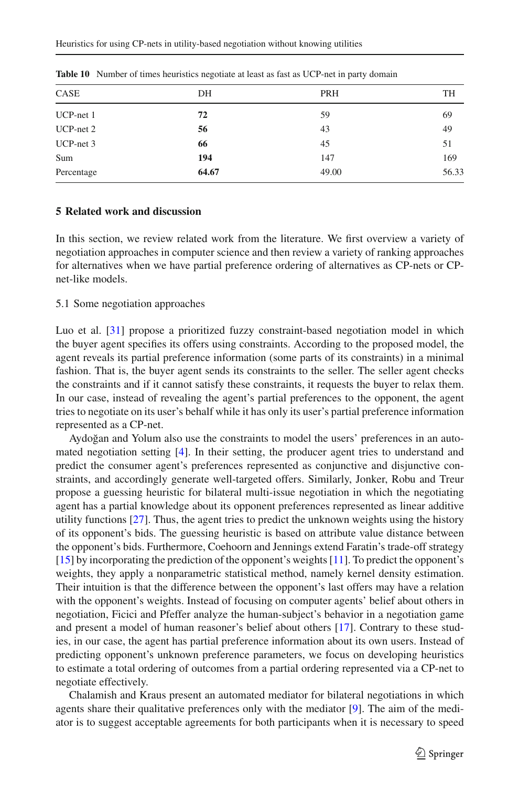<span id="page-24-1"></span>

| CASE       | DH    | PRH   | TH    |
|------------|-------|-------|-------|
|            |       |       |       |
| UCP-net 1  | 72    | 59    | 69    |
| UCP-net 2  | 56    | 43    | 49    |
| UCP-net 3  | 66    | 45    | 51    |
| Sum        | 194   | 147   | 169   |
| Percentage | 64.67 | 49.00 | 56.33 |

**Table 10** Number of times heuristics negotiate at least as fast as UCP-net in party domain

# <span id="page-24-0"></span>**5 Related work and discussion**

In this section, we review related work from the literature. We first overview a variety of negotiation approaches in computer science and then review a variety of ranking approaches for alternatives when we have partial preference ordering of alternatives as CP-nets or CPnet-like models.

## 5.1 Some negotiation approaches

Luo et al. [\[31](#page-29-20)] propose a prioritized fuzzy constraint-based negotiation model in which the buyer agent specifies its offers using constraints. According to the proposed model, the agent reveals its partial preference information (some parts of its constraints) in a minimal fashion. That is, the buyer agent sends its constraints to the seller. The seller agent checks the constraints and if it cannot satisfy these constraints, it requests the buyer to relax them. In our case, instead of revealing the agent's partial preferences to the opponent, the agent tries to negotiate on its user's behalf while it has only its user's partial preference information represented as a CP-net.

Aydoğan and Yolum also use the constraints to model the users' preferences in an automated negotiation setting [\[4](#page-28-7)]. In their setting, the producer agent tries to understand and predict the consumer agent's preferences represented as conjunctive and disjunctive constraints, and accordingly generate well-targeted offers. Similarly, Jonker, Robu and Treur propose a guessing heuristic for bilateral multi-issue negotiation in which the negotiating agent has a partial knowledge about its opponent preferences represented as linear additive utility functions [\[27](#page-29-5)]. Thus, the agent tries to predict the unknown weights using the history of its opponent's bids. The guessing heuristic is based on attribute value distance between the opponent's bids. Furthermore, Coehoorn and Jennings extend Faratin's trade-off strategy [\[15\]](#page-29-21) by incorporating the prediction of the opponent's weights [\[11\]](#page-29-22). To predict the opponent's weights, they apply a nonparametric statistical method, namely kernel density estimation. Their intuition is that the difference between the opponent's last offers may have a relation with the opponent's weights. Instead of focusing on computer agents' belief about others in negotiation, Ficici and Pfeffer analyze the human-subject's behavior in a negotiation game and present a model of human reasoner's belief about others [\[17](#page-29-23)]. Contrary to these studies, in our case, the agent has partial preference information about its own users. Instead of predicting opponent's unknown preference parameters, we focus on developing heuristics to estimate a total ordering of outcomes from a partial ordering represented via a CP-net to negotiate effectively.

Chalamish and Kraus present an automated mediator for bilateral negotiations in which agents share their qualitative preferences only with the mediator [\[9](#page-29-17)]. The aim of the mediator is to suggest acceptable agreements for both participants when it is necessary to speed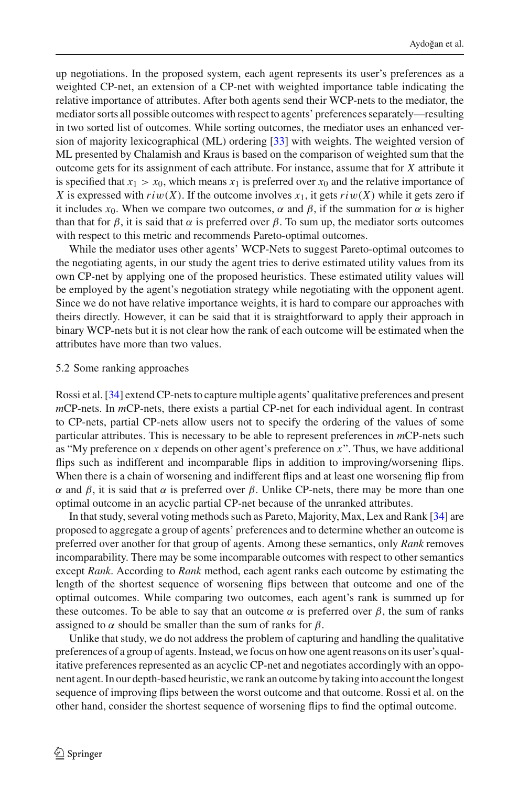up negotiations. In the proposed system, each agent represents its user's preferences as a weighted CP-net, an extension of a CP-net with weighted importance table indicating the relative importance of attributes. After both agents send their WCP-nets to the mediator, the mediator sorts all possible outcomes with respect to agents' preferences separately—resulting in two sorted list of outcomes. While sorting outcomes, the mediator uses an enhanced version of majority lexicographical (ML) ordering [\[33](#page-29-24)] with weights. The weighted version of ML presented by Chalamish and Kraus is based on the comparison of weighted sum that the outcome gets for its assignment of each attribute. For instance, assume that for *X* attribute it is specified that  $x_1 > x_0$ , which means  $x_1$  is preferred over  $x_0$  and the relative importance of *X* is expressed with  $riw(X)$ . If the outcome involves  $x_1$ , it gets  $riw(X)$  while it gets zero if it includes  $x_0$ . When we compare two outcomes,  $\alpha$  and  $\beta$ , if the summation for  $\alpha$  is higher than that for  $\beta$ , it is said that  $\alpha$  is preferred over  $\beta$ . To sum up, the mediator sorts outcomes with respect to this metric and recommends Pareto-optimal outcomes.

While the mediator uses other agents' WCP-Nets to suggest Pareto-optimal outcomes to the negotiating agents, in our study the agent tries to derive estimated utility values from its own CP-net by applying one of the proposed heuristics. These estimated utility values will be employed by the agent's negotiation strategy while negotiating with the opponent agent. Since we do not have relative importance weights, it is hard to compare our approaches with theirs directly. However, it can be said that it is straightforward to apply their approach in binary WCP-nets but it is not clear how the rank of each outcome will be estimated when the attributes have more than two values.

#### 5.2 Some ranking approaches

Rossi et al. [\[34](#page-29-25)] extend CP-nets to capture multiple agents' qualitative preferences and present *m*CP-nets. In *m*CP-nets, there exists a partial CP-net for each individual agent. In contrast to CP-nets, partial CP-nets allow users not to specify the ordering of the values of some particular attributes. This is necessary to be able to represent preferences in *m*CP-nets such as "My preference on *x* depends on other agent's preference on *x*". Thus, we have additional flips such as indifferent and incomparable flips in addition to improving/worsening flips. When there is a chain of worsening and indifferent flips and at least one worsening flip from α and  $β$ , it is said that  $α$  is preferred over  $β$ . Unlike CP-nets, there may be more than one optimal outcome in an acyclic partial CP-net because of the unranked attributes.

In that study, several voting methods such as Pareto, Majority, Max, Lex and Rank [\[34\]](#page-29-25) are proposed to aggregate a group of agents' preferences and to determine whether an outcome is preferred over another for that group of agents. Among these semantics, only *Rank* removes incomparability. There may be some incomparable outcomes with respect to other semantics except *Rank*. According to *Rank* method, each agent ranks each outcome by estimating the length of the shortest sequence of worsening flips between that outcome and one of the optimal outcomes. While comparing two outcomes, each agent's rank is summed up for these outcomes. To be able to say that an outcome  $\alpha$  is preferred over  $\beta$ , the sum of ranks assigned to  $\alpha$  should be smaller than the sum of ranks for  $\beta$ .

Unlike that study, we do not address the problem of capturing and handling the qualitative preferences of a group of agents. Instead, we focus on how one agent reasons on its user's qualitative preferences represented as an acyclic CP-net and negotiates accordingly with an opponent agent. In our depth-based heuristic, we rank an outcome by taking into account the longest sequence of improving flips between the worst outcome and that outcome. Rossi et al. on the other hand, consider the shortest sequence of worsening flips to find the optimal outcome.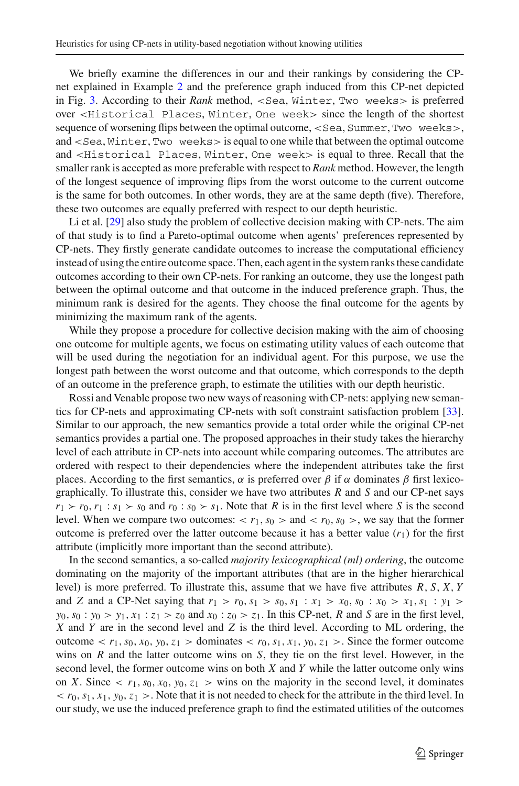We briefly examine the differences in our and their rankings by considering the CPnet explained in Example [2](#page-6-1) and the preference graph induced from this CP-net depicted in Fig. [3.](#page-7-0) According to their *Rank* method, <Sea, Winter, Two weeks> is preferred over <Historical Places, Winter, One week> since the length of the shortest sequence of worsening flips between the optimal outcome, <Sea, Summer, Two weeks>, and <Sea, Winter, Two weeks> is equal to one while that between the optimal outcome and <Historical Places, Winter, One week> is equal to three. Recall that the smaller rank is accepted as more preferable with respect to *Rank* method. However, the length of the longest sequence of improving flips from the worst outcome to the current outcome is the same for both outcomes. In other words, they are at the same depth (five). Therefore, these two outcomes are equally preferred with respect to our depth heuristic.

Li et al. [\[29](#page-29-26)] also study the problem of collective decision making with CP-nets. The aim of that study is to find a Pareto-optimal outcome when agents' preferences represented by CP-nets. They firstly generate candidate outcomes to increase the computational efficiency instead of using the entire outcome space. Then, each agent in the system ranks these candidate outcomes according to their own CP-nets. For ranking an outcome, they use the longest path between the optimal outcome and that outcome in the induced preference graph. Thus, the minimum rank is desired for the agents. They choose the final outcome for the agents by minimizing the maximum rank of the agents.

While they propose a procedure for collective decision making with the aim of choosing one outcome for multiple agents, we focus on estimating utility values of each outcome that will be used during the negotiation for an individual agent. For this purpose, we use the longest path between the worst outcome and that outcome, which corresponds to the depth of an outcome in the preference graph, to estimate the utilities with our depth heuristic.

Rossi and Venable propose two new ways of reasoning with CP-nets: applying new semantics for CP-nets and approximating CP-nets with soft constraint satisfaction problem [\[33\]](#page-29-24). Similar to our approach, the new semantics provide a total order while the original CP-net semantics provides a partial one. The proposed approaches in their study takes the hierarchy level of each attribute in CP-nets into account while comparing outcomes. The attributes are ordered with respect to their dependencies where the independent attributes take the first places. According to the first semantics,  $\alpha$  is preferred over  $\beta$  if  $\alpha$  dominates  $\beta$  first lexicographically. To illustrate this, consider we have two attributes *R* and *S* and our CP-net says  $r_1 \succ r_0$ ,  $r_1 : s_1 \succ s_0$  and  $r_0 : s_0 \succ s_1$ . Note that *R* is in the first level where *S* is the second level. When we compare two outcomes:  $\langle r_1, s_0 \rangle$  and  $\langle r_0, s_0 \rangle$ , we say that the former outcome is preferred over the latter outcome because it has a better value  $(r_1)$  for the first attribute (implicitly more important than the second attribute).

In the second semantics, a so-called *majority lexicographical (ml) ordering*, the outcome dominating on the majority of the important attributes (that are in the higher hierarchical level) is more preferred. To illustrate this, assume that we have five attributes *R*, *S*, *X*, *Y* and *Z* and a CP-Net saying that  $r_1 > r_0$ ,  $s_1 > s_0$ ,  $s_1 : x_1 > x_0$ ,  $s_0 : x_0 > x_1$ ,  $s_1 : y_1 >$  $y_0, s_0 : y_0 > y_1, x_1 : z_1 > z_0$  and  $x_0 : z_0 > z_1$ . In this CP-net, *R* and *S* are in the first level, *X* and *Y* are in the second level and *Z* is the third level. According to ML ordering, the outcome  $\langle r_1, s_0, x_0, y_0, z_1 \rangle$  dominates  $\langle r_0, s_1, x_1, y_0, z_1 \rangle$ . Since the former outcome wins on *R* and the latter outcome wins on *S*, they tie on the first level. However, in the second level, the former outcome wins on both *X* and *Y* while the latter outcome only wins on *X*. Since  $\langle r_1, s_0, x_0, y_0, z_1 \rangle$  wins on the majority in the second level, it dominates  $r < r_0$ ,  $s_1$ ,  $x_1$ ,  $y_0$ ,  $z_1$  >. Note that it is not needed to check for the attribute in the third level. In our study, we use the induced preference graph to find the estimated utilities of the outcomes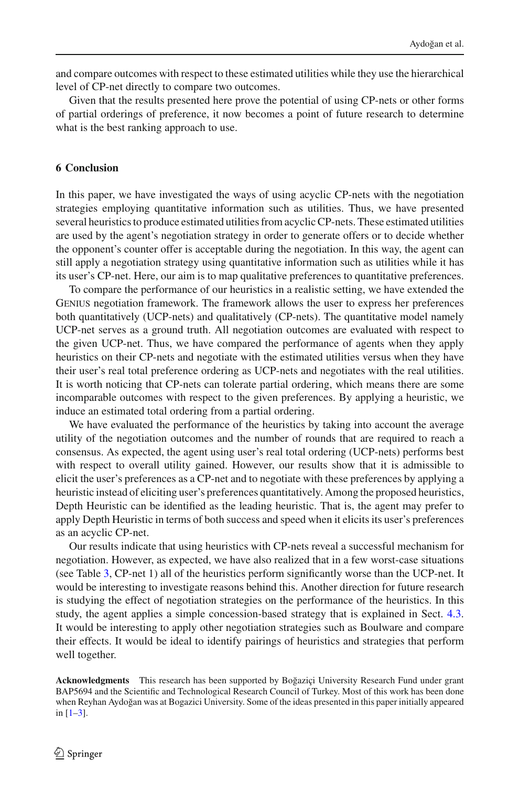and compare outcomes with respect to these estimated utilities while they use the hierarchical level of CP-net directly to compare two outcomes.

Given that the results presented here prove the potential of using CP-nets or other forms of partial orderings of preference, it now becomes a point of future research to determine what is the best ranking approach to use.

## <span id="page-27-0"></span>**6 Conclusion**

In this paper, we have investigated the ways of using acyclic CP-nets with the negotiation strategies employing quantitative information such as utilities. Thus, we have presented several heuristics to produce estimated utilities from acyclic CP-nets. These estimated utilities are used by the agent's negotiation strategy in order to generate offers or to decide whether the opponent's counter offer is acceptable during the negotiation. In this way, the agent can still apply a negotiation strategy using quantitative information such as utilities while it has its user's CP-net. Here, our aim is to map qualitative preferences to quantitative preferences.

To compare the performance of our heuristics in a realistic setting, we have extended the Genius negotiation framework. The framework allows the user to express her preferences both quantitatively (UCP-nets) and qualitatively (CP-nets). The quantitative model namely UCP-net serves as a ground truth. All negotiation outcomes are evaluated with respect to the given UCP-net. Thus, we have compared the performance of agents when they apply heuristics on their CP-nets and negotiate with the estimated utilities versus when they have their user's real total preference ordering as UCP-nets and negotiates with the real utilities. It is worth noticing that CP-nets can tolerate partial ordering, which means there are some incomparable outcomes with respect to the given preferences. By applying a heuristic, we induce an estimated total ordering from a partial ordering.

We have evaluated the performance of the heuristics by taking into account the average utility of the negotiation outcomes and the number of rounds that are required to reach a consensus. As expected, the agent using user's real total ordering (UCP-nets) performs best with respect to overall utility gained. However, our results show that it is admissible to elicit the user's preferences as a CP-net and to negotiate with these preferences by applying a heuristic instead of eliciting user's preferences quantitatively. Among the proposed heuristics, Depth Heuristic can be identified as the leading heuristic. That is, the agent may prefer to apply Depth Heuristic in terms of both success and speed when it elicits its user's preferences as an acyclic CP-net.

Our results indicate that using heuristics with CP-nets reveal a successful mechanism for negotiation. However, as expected, we have also realized that in a few worst-case situations (see Table [3,](#page-19-0) CP-net 1) all of the heuristics perform significantly worse than the UCP-net. It would be interesting to investigate reasons behind this. Another direction for future research is studying the effect of negotiation strategies on the performance of the heuristics. In this study, the agent applies a simple concession-based strategy that is explained in Sect. [4.3.](#page-16-0) It would be interesting to apply other negotiation strategies such as Boulware and compare their effects. It would be ideal to identify pairings of heuristics and strategies that perform well together.

**Acknowledgments** This research has been supported by Boğaziçi University Research Fund under grant BAP5694 and the Scientific and Technological Research Council of Turkey. Most of this work has been done when Reyhan Aydoğan was at Bogazici University. Some of the ideas presented in this paper initially appeared in [\[1](#page-28-4)[–3](#page-28-1)].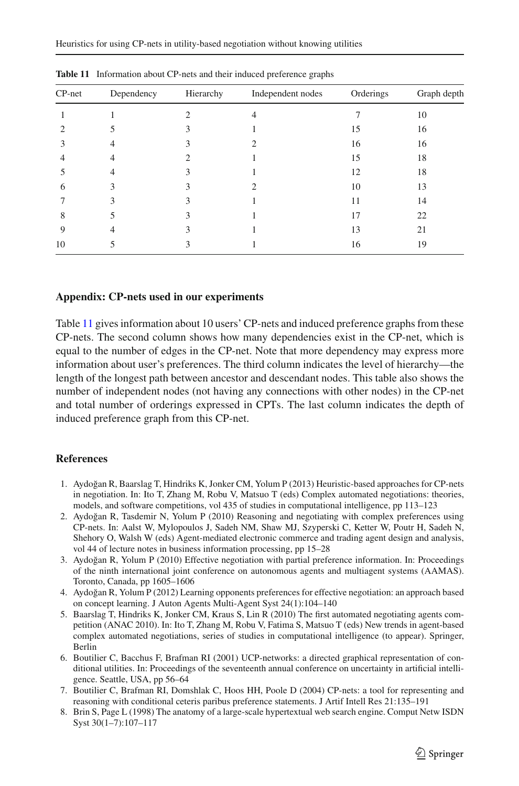<span id="page-28-8"></span>

| CP-net | Dependency | Hierarchy | Independent nodes | Orderings | Graph depth |
|--------|------------|-----------|-------------------|-----------|-------------|
|        |            |           |                   |           | 10          |
|        |            |           |                   | 15        | 16          |
|        |            |           |                   | 16        | 16          |
|        |            |           |                   | 15        | 18          |
|        |            |           |                   | 12        | 18          |
| 6      |            |           |                   | 10        | 13          |
|        |            |           |                   | 11        | 14          |
| 8      |            |           |                   | 17        | 22          |
| 9      | 4          |           |                   | 13        | 21          |
| 10     |            |           |                   | 16        | 19          |

**Table 11** Information about CP-nets and their induced preference graphs

## **Appendix: CP-nets used in our experiments**

Table [11](#page-28-8) gives information about 10 users' CP-nets and induced preference graphs from these CP-nets. The second column shows how many dependencies exist in the CP-net, which is equal to the number of edges in the CP-net. Note that more dependency may express more information about user's preferences. The third column indicates the level of hierarchy—the length of the longest path between ancestor and descendant nodes. This table also shows the number of independent nodes (not having any connections with other nodes) in the CP-net and total number of orderings expressed in CPTs. The last column indicates the depth of induced preference graph from this CP-net.

## <span id="page-28-4"></span>**References**

- 1. Aydoğan R, Baarslag T, Hindriks K, Jonker CM, Yolum P (2013) Heuristic-based approaches for CP-nets in negotiation. In: Ito T, Zhang M, Robu V, Matsuo T (eds) Complex automated negotiations: theories, models, and software competitions, vol 435 of studies in computational intelligence, pp 113–123
- <span id="page-28-5"></span>2. Aydoğan R, Tasdemir N, Yolum P (2010) Reasoning and negotiating with complex preferences using CP-nets. In: Aalst W, Mylopoulos J, Sadeh NM, Shaw MJ, Szyperski C, Ketter W, Poutr H, Sadeh N, Shehory O, Walsh W (eds) Agent-mediated electronic commerce and trading agent design and analysis, vol 44 of lecture notes in business information processing, pp 15–28
- <span id="page-28-1"></span>3. Aydoğan R, Yolum P (2010) Effective negotiation with partial preference information. In: Proceedings of the ninth international joint conference on autonomous agents and multiagent systems (AAMAS). Toronto, Canada, pp 1605–1606
- <span id="page-28-7"></span>4. Aydoğan R, Yolum P (2012) Learning opponents preferences for effective negotiation: an approach based on concept learning. J Auton Agents Multi-Agent Syst 24(1):104–140
- <span id="page-28-2"></span>5. Baarslag T, Hindriks K, Jonker CM, Kraus S, Lin R (2010) The first automated negotiating agents competition (ANAC 2010). In: Ito T, Zhang M, Robu V, Fatima S, Matsuo T (eds) New trends in agent-based complex automated negotiations, series of studies in computational intelligence (to appear). Springer, Berlin
- <span id="page-28-3"></span>6. Boutilier C, Bacchus F, Brafman RI (2001) UCP-networks: a directed graphical representation of conditional utilities. In: Proceedings of the seventeenth annual conference on uncertainty in artificial intelligence. Seattle, USA, pp 56–64
- <span id="page-28-0"></span>7. Boutilier C, Brafman RI, Domshlak C, Hoos HH, Poole D (2004) CP-nets: a tool for representing and reasoning with conditional ceteris paribus preference statements. J Artif Intell Res 21:135–191
- <span id="page-28-6"></span>8. Brin S, Page L (1998) The anatomy of a large-scale hypertextual web search engine. Comput Netw ISDN Syst 30(1–7):107–117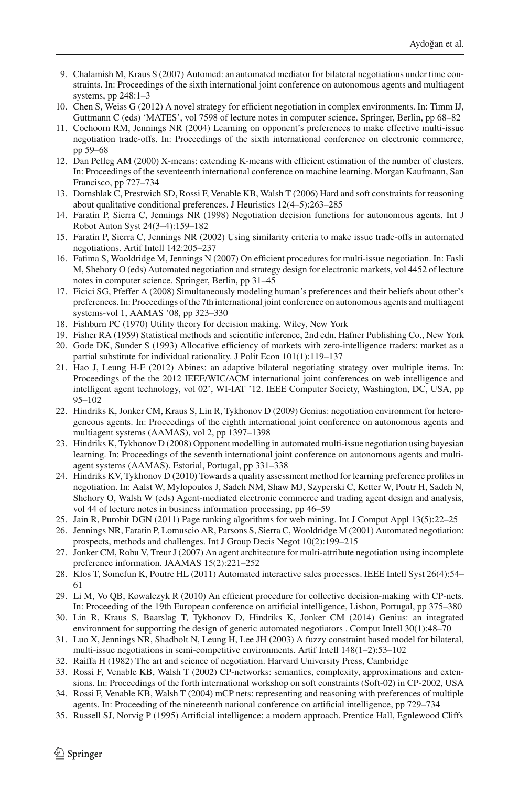- <span id="page-29-17"></span>9. Chalamish M, Kraus S (2007) Automed: an automated mediator for bilateral negotiations under time constraints. In: Proceedings of the sixth international joint conference on autonomous agents and multiagent systems, pp 248:1–3
- <span id="page-29-15"></span>10. Chen S, Weiss G (2012) A novel strategy for efficient negotiation in complex environments. In: Timm IJ, Guttmann C (eds) 'MATES', vol 7598 of lecture notes in computer science. Springer, Berlin, pp 68–82
- <span id="page-29-22"></span>11. Coehoorn RM, Jennings NR (2004) Learning on opponent's preferences to make effective multi-issue negotiation trade-offs. In: Proceedings of the sixth international conference on electronic commerce, pp 59–68
- <span id="page-29-10"></span>12. Dan Pelleg AM (2000) X-means: extending K-means with efficient estimation of the number of clusters. In: Proceedings of the seventeenth international conference on machine learning. Morgan Kaufmann, San Francisco, pp 727–734
- <span id="page-29-8"></span>13. Domshlak C, Prestwich SD, Rossi F, Venable KB, Walsh T (2006) Hard and soft constraints for reasoning about qualitative conditional preferences. J Heuristics 12(4–5):263–285
- <span id="page-29-2"></span>14. Faratin P, Sierra C, Jennings NR (1998) Negotiation decision functions for autonomous agents. Int J Robot Auton Syst 24(3–4):159–182
- <span id="page-29-21"></span>15. Faratin P, Sierra C, Jennings NR (2002) Using similarity criteria to make issue trade-offs in automated negotiations. Artif Intell 142:205–237
- <span id="page-29-3"></span>16. Fatima S, Wooldridge M, Jennings N (2007) On efficient procedures for multi-issue negotiation. In: Fasli M, Shehory O (eds) Automated negotiation and strategy design for electronic markets, vol 4452 of lecture notes in computer science. Springer, Berlin, pp 31–45
- <span id="page-29-23"></span>17. Ficici SG, Pfeffer A (2008) Simultaneously modeling human's preferences and their beliefs about other's preferences. In: Proceedings of the 7th international joint conference on autonomous agents and multiagent systems-vol 1, AAMAS '08, pp 323–330
- <span id="page-29-9"></span>18. Fishburn PC (1970) Utility theory for decision making. Wiley, New York
- <span id="page-29-19"></span>19. Fisher RA (1959) Statistical methods and scientific inference, 2nd edn. Hafner Publishing Co., New York
- <span id="page-29-13"></span>20. Gode DK, Sunder S (1993) Allocative efficiency of markets with zero-intelligence traders: market as a partial substitute for individual rationality. J Polit Econ 101(1):119–137
- <span id="page-29-16"></span>21. Hao J, Leung H-F (2012) Abines: an adaptive bilateral negotiating strategy over multiple items. In: Proceedings of the the 2012 IEEE/WIC/ACM international joint conferences on web intelligence and intelligent agent technology, vol 02', WI-IAT '12. IEEE Computer Society, Washington, DC, USA, pp 95–102
- <span id="page-29-6"></span>22. Hindriks K, Jonker CM, Kraus S, Lin R, Tykhonov D (2009) Genius: negotiation environment for heterogeneous agents. In: Proceedings of the eighth international joint conference on autonomous agents and multiagent systems (AAMAS), vol 2, pp 1397–1398
- <span id="page-29-4"></span>23. Hindriks K, Tykhonov D (2008) Opponent modelling in automated multi-issue negotiation using bayesian learning. In: Proceedings of the seventh international joint conference on autonomous agents and multiagent systems (AAMAS). Estorial, Portugal, pp 331–338
- <span id="page-29-14"></span>24. Hindriks KV, Tykhonov D (2010) Towards a quality assessment method for learning preference profiles in negotiation. In: Aalst W, Mylopoulos J, Sadeh NM, Shaw MJ, Szyperski C, Ketter W, Poutr H, Sadeh N, Shehory O, Walsh W (eds) Agent-mediated electronic commerce and trading agent design and analysis, vol 44 of lecture notes in business information processing, pp 46–59
- <span id="page-29-11"></span>25. Jain R, Purohit DGN (2011) Page ranking algorithms for web mining. Int J Comput Appl 13(5):22–25
- <span id="page-29-0"></span>26. Jennings NR, Faratin P, Lomuscio AR, Parsons S, Sierra C, Wooldridge M (2001) Automated negotiation: prospects, methods and challenges. Int J Group Decis Negot 10(2):199–215
- <span id="page-29-5"></span>27. Jonker CM, Robu V, Treur J (2007) An agent architecture for multi-attribute negotiation using incomplete preference information. JAAMAS 15(2):221–252
- <span id="page-29-18"></span>28. Klos T, Somefun K, Poutre HL (2011) Automated interactive sales processes. IEEE Intell Syst 26(4):54– 61
- <span id="page-29-26"></span>29. Li M, Vo QB, Kowalczyk R (2010) An efficient procedure for collective decision-making with CP-nets. In: Proceeding of the 19th European conference on artificial intelligence, Lisbon, Portugal, pp 375–380
- <span id="page-29-7"></span>30. Lin R, Kraus S, Baarslag T, Tykhonov D, Hindriks K, Jonker CM (2014) Genius: an integrated environment for supporting the design of generic automated negotiators . Comput Intell 30(1):48–70
- <span id="page-29-20"></span>31. Luo X, Jennings NR, Shadbolt N, Leung H, Lee JH (2003) A fuzzy constraint based model for bilateral, multi-issue negotiations in semi-competitive environments. Artif Intell 148(1–2):53–102
- <span id="page-29-1"></span>32. Raiffa H (1982) The art and science of negotiation. Harvard University Press, Cambridge
- <span id="page-29-24"></span>33. Rossi F, Venable KB, Walsh T (2002) CP-networks: semantics, complexity, approximations and extensions. In: Proceedings of the forth international workshop on soft constraints (Soft-02) in CP-2002, USA
- <span id="page-29-25"></span>34. Rossi F, Venable KB, Walsh T (2004) mCP nets: representing and reasoning with preferences of multiple agents. In: Proceeding of the nineteenth national conference on artificial intelligence, pp 729–734
- <span id="page-29-12"></span>35. Russell SJ, Norvig P (1995) Artificial intelligence: a modern approach. Prentice Hall, Egnlewood Cliffs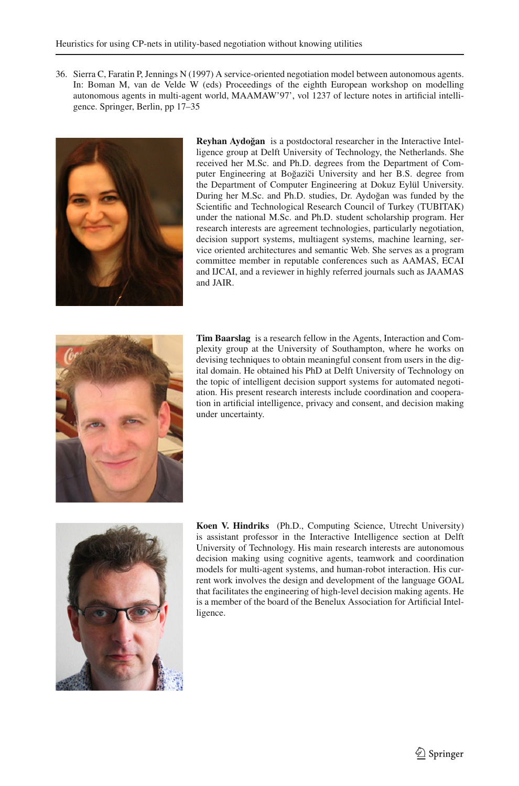<span id="page-30-0"></span>36. Sierra C, Faratin P, Jennings N (1997) A service-oriented negotiation model between autonomous agents. In: Boman M, van de Velde W (eds) Proceedings of the eighth European workshop on modelling autonomous agents in multi-agent world, MAAMAW'97', vol 1237 of lecture notes in artificial intelligence. Springer, Berlin, pp 17–35



**Reyhan Aydoğan** is a postdoctoral researcher in the Interactive Intelligence group at Delft University of Technology, the Netherlands. She received her M.Sc. and Ph.D. degrees from the Department of Computer Engineering at Boğaziči University and her B.S. degree from the Department of Computer Engineering at Dokuz Eylül University. During her M.Sc. and Ph.D. studies, Dr. Aydoğan was funded by the Scientific and Technological Research Council of Turkey (TUBITAK) under the national M.Sc. and Ph.D. student scholarship program. Her research interests are agreement technologies, particularly negotiation, decision support systems, multiagent systems, machine learning, service oriented architectures and semantic Web. She serves as a program committee member in reputable conferences such as AAMAS, ECAI and IJCAI, and a reviewer in highly referred journals such as JAAMAS and JAIR.



**Tim Baarslag** is a research fellow in the Agents, Interaction and Complexity group at the University of Southampton, where he works on devising techniques to obtain meaningful consent from users in the digital domain. He obtained his PhD at Delft University of Technology on the topic of intelligent decision support systems for automated negotiation. His present research interests include coordination and cooperation in artificial intelligence, privacy and consent, and decision making under uncertainty.



**Koen V. Hindriks** (Ph.D., Computing Science, Utrecht University) is assistant professor in the Interactive Intelligence section at Delft University of Technology. His main research interests are autonomous decision making using cognitive agents, teamwork and coordination models for multi-agent systems, and human-robot interaction. His current work involves the design and development of the language GOAL that facilitates the engineering of high-level decision making agents. He is a member of the board of the Benelux Association for Artificial Intelligence.